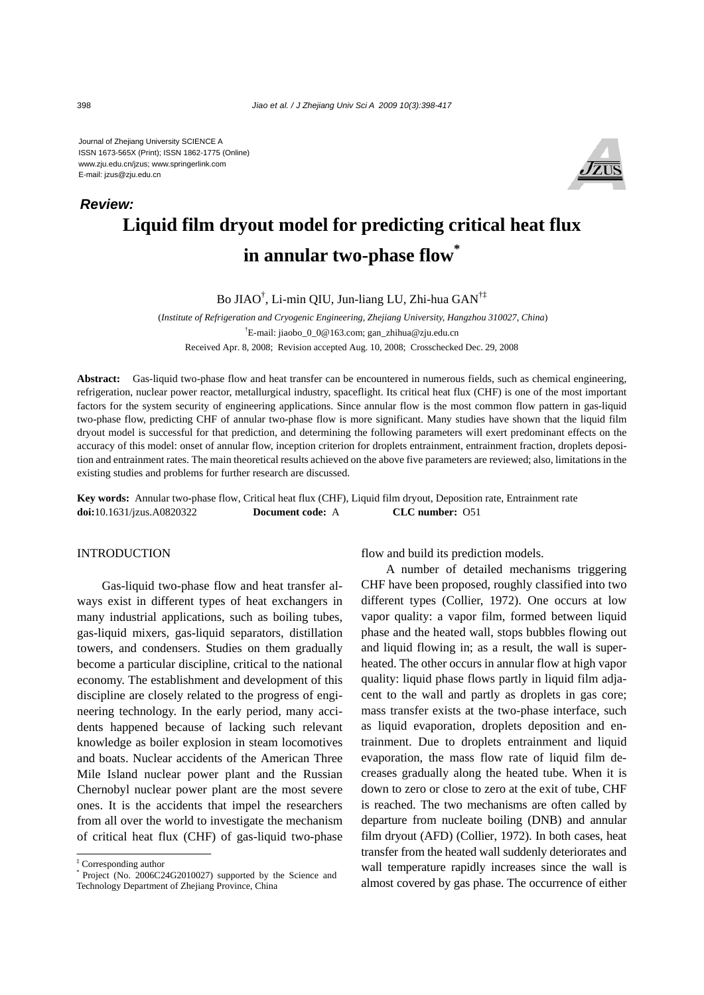Journal of Zhejiang University SCIENCE A ISSN 1673-565X (Print); ISSN 1862-1775 (Online) www.zju.edu.cn/jzus; www.springerlink.com E-mail: jzus@zju.edu.cn



# **Liquid film dryout model for predicting critical heat flux in annular two-phase flow\*** *Review:*

Bo JIAO† , Li-min QIU, Jun-liang LU, Zhi-hua GAN†‡

 (*Institute of Refrigeration and Cryogenic Engineering, Zhejiang University, Hangzhou 310027, China*) † E-mail: jiaobo\_0\_0@163.com; gan\_zhihua@zju.edu.cn Received Apr. 8, 2008; Revision accepted Aug. 10, 2008; Crosschecked Dec. 29, 2008

**Abstract:** Gas-liquid two-phase flow and heat transfer can be encountered in numerous fields, such as chemical engineering, refrigeration, nuclear power reactor, metallurgical industry, spaceflight. Its critical heat flux (CHF) is one of the most important factors for the system security of engineering applications. Since annular flow is the most common flow pattern in gas-liquid two-phase flow, predicting CHF of annular two-phase flow is more significant. Many studies have shown that the liquid film dryout model is successful for that prediction, and determining the following parameters will exert predominant effects on the accuracy of this model: onset of annular flow, inception criterion for droplets entrainment, entrainment fraction, droplets deposition and entrainment rates. The main theoretical results achieved on the above five parameters are reviewed; also, limitations in the existing studies and problems for further research are discussed.

**Key words:** Annular two-phase flow, Critical heat flux (CHF), Liquid film dryout, Deposition rate, Entrainment rate **doi:**10.1631/jzus.A0820322 **Document code:** A **CLC number:** O51

#### **INTRODUCTION**

Gas-liquid two-phase flow and heat transfer always exist in different types of heat exchangers in many industrial applications, such as boiling tubes, gas-liquid mixers, gas-liquid separators, distillation towers, and condensers. Studies on them gradually become a particular discipline, critical to the national economy. The establishment and development of this discipline are closely related to the progress of engineering technology. In the early period, many accidents happened because of lacking such relevant knowledge as boiler explosion in steam locomotives and boats. Nuclear accidents of the American Three Mile Island nuclear power plant and the Russian Chernobyl nuclear power plant are the most severe ones. It is the accidents that impel the researchers from all over the world to investigate the mechanism of critical heat flux (CHF) of gas-liquid two-phase

flow and build its prediction models.

A number of detailed mechanisms triggering CHF have been proposed, roughly classified into two different types (Collier, 1972). One occurs at low vapor quality: a vapor film, formed between liquid phase and the heated wall, stops bubbles flowing out and liquid flowing in; as a result, the wall is superheated. The other occurs in annular flow at high vapor quality: liquid phase flows partly in liquid film adjacent to the wall and partly as droplets in gas core; mass transfer exists at the two-phase interface, such as liquid evaporation, droplets deposition and entrainment. Due to droplets entrainment and liquid evaporation, the mass flow rate of liquid film decreases gradually along the heated tube. When it is down to zero or close to zero at the exit of tube, CHF is reached. The two mechanisms are often called by departure from nucleate boiling (DNB) and annular film dryout (AFD) (Collier, 1972). In both cases, heat transfer from the heated wall suddenly deteriorates and wall temperature rapidly increases since the wall is almost covered by gas phase. The occurrence of either

<sup>‡</sup> Corresponding author

Project (No. 2006C24G2010027) supported by the Science and Technology Department of Zhejiang Province, China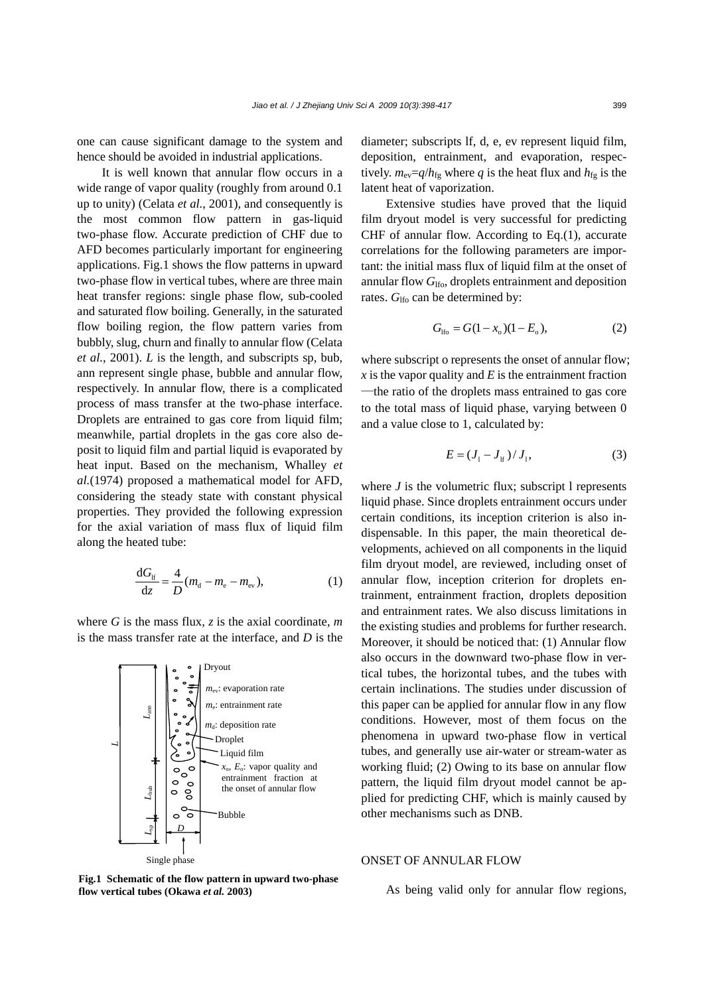one can cause significant damage to the system and hence should be avoided in industrial applications.

It is well known that annular flow occurs in a wide range of vapor quality (roughly from around 0.1 up to unity) (Celata *et al.*, 2001), and consequently is the most common flow pattern in gas-liquid two-phase flow. Accurate prediction of CHF due to AFD becomes particularly important for engineering applications. Fig.1 shows the flow patterns in upward two-phase flow in vertical tubes, where are three main heat transfer regions: single phase flow, sub-cooled and saturated flow boiling. Generally, in the saturated flow boiling region, the flow pattern varies from bubbly, slug, churn and finally to annular flow (Celata *et al.*, 2001). *L* is the length, and subscripts sp, bub, ann represent single phase, bubble and annular flow, respectively. In annular flow, there is a complicated process of mass transfer at the two-phase interface. Droplets are entrained to gas core from liquid film; meanwhile, partial droplets in the gas core also deposit to liquid film and partial liquid is evaporated by heat input. Based on the mechanism, Whalley *et al.*(1974) proposed a mathematical model for AFD, considering the steady state with constant physical properties. They provided the following expression for the axial variation of mass flux of liquid film along the heated tube:

$$
\frac{dG_{\text{lf}}}{dz} = \frac{4}{D}(m_{\text{d}} - m_{\text{e}} - m_{\text{ev}}),\tag{1}
$$

where *G* is the mass flux, *z* is the axial coordinate, *m* is the mass transfer rate at the interface, and *D* is the



**Fig.1 Schematic of the flow pattern in upward two-phase flow vertical tubes (Okawa** *et al.* **2003)**

diameter; subscripts lf, d, e, ev represent liquid film, deposition, entrainment, and evaporation, respectively.  $m_{ev}=q/h_{fg}$  where *q* is the heat flux and  $h_{fg}$  is the latent heat of vaporization.

Extensive studies have proved that the liquid film dryout model is very successful for predicting CHF of annular flow. According to Eq.(1), accurate correlations for the following parameters are important: the initial mass flux of liquid film at the onset of annular flow  $G<sub>lfo</sub>$ , droplets entrainment and deposition rates.  $G<sub>lfo</sub>$  can be determined by:

$$
G_{\text{lfo}} = G(1 - x_{\text{o}})(1 - E_{\text{o}}),\tag{2}
$$

where subscript o represents the onset of annular flow;  $\bar{x}$  is the vapor quality and  $\bar{E}$  is the entrainment fraction —the ratio of the droplets mass entrained to gas core to the total mass of liquid phase, varying between 0 and a value close to 1, calculated by:

$$
E = (J_1 - J_{\text{lf}}) / J_1,\tag{3}
$$

where *J* is the volumetric flux; subscript l represents liquid phase. Since droplets entrainment occurs under certain conditions, its inception criterion is also indispensable. In this paper, the main theoretical developments, achieved on all components in the liquid film dryout model, are reviewed, including onset of annular flow, inception criterion for droplets entrainment, entrainment fraction, droplets deposition and entrainment rates. We also discuss limitations in the existing studies and problems for further research. Moreover, it should be noticed that: (1) Annular flow also occurs in the downward two-phase flow in vertical tubes, the horizontal tubes, and the tubes with certain inclinations. The studies under discussion of this paper can be applied for annular flow in any flow conditions. However, most of them focus on the phenomena in upward two-phase flow in vertical tubes, and generally use air-water or stream-water as working fluid; (2) Owing to its base on annular flow pattern, the liquid film dryout model cannot be applied for predicting CHF, which is mainly caused by other mechanisms such as DNB.

## ONSET OF ANNULAR FLOW

As being valid only for annular flow regions,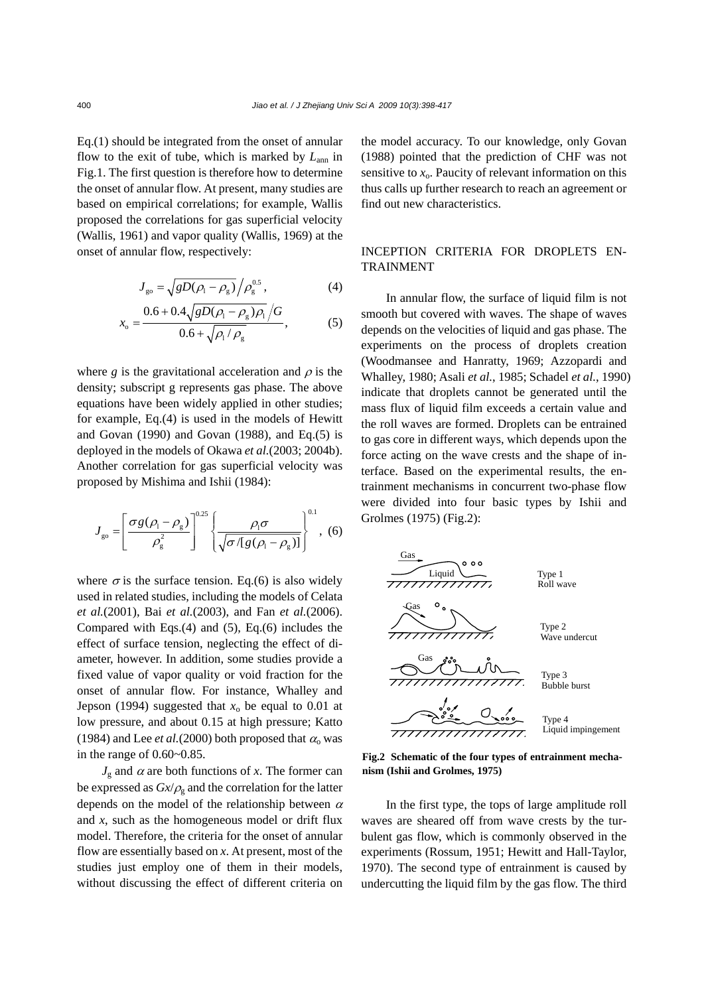Eq.(1) should be integrated from the onset of annular flow to the exit of tube, which is marked by *L*ann in Fig.1. The first question is therefore how to determine the onset of annular flow. At present, many studies are based on empirical correlations; for example, Wallis proposed the correlations for gas superficial velocity (Wallis, 1961) and vapor quality (Wallis, 1969) at the onset of annular flow, respectively:

$$
J_{\rm go} = \sqrt{gD(\rho_{\rm l} - \rho_{\rm g})}/\rho_{\rm g}^{0.5},\tag{4}
$$

$$
x_{o} = \frac{0.6 + 0.4\sqrt{gD(\rho_{1} - \rho_{g})\rho_{1}}/G}{0.6 + \sqrt{\rho_{1}/\rho_{g}}},
$$
(5)

where *g* is the gravitational acceleration and  $\rho$  is the density; subscript g represents gas phase. The above equations have been widely applied in other studies; for example, Eq.(4) is used in the models of Hewitt and Govan (1990) and Govan (1988), and Eq.(5) is deployed in the models of Okawa *et al.*(2003; 2004b). Another correlation for gas superficial velocity was proposed by Mishima and Ishii (1984):

$$
J_{\rm go} = \left[\frac{\sigma g(\rho_{\rm l} - \rho_{\rm g})}{\rho_{\rm g}^2}\right]^{0.25} \left\{\frac{\rho_{\rm l}\sigma}{\sqrt{\sigma/[g(\rho_{\rm l} - \rho_{\rm g})]}}\right\}^{0.1},\tag{6}
$$

where  $\sigma$  is the surface tension. Eq.(6) is also widely used in related studies, including the models of Celata *et al.*(2001), Bai *et al.*(2003), and Fan *et al.*(2006). Compared with Eqs.(4) and (5), Eq.(6) includes the effect of surface tension, neglecting the effect of diameter, however. In addition, some studies provide a fixed value of vapor quality or void fraction for the onset of annular flow. For instance, Whalley and Jepson (1994) suggested that  $x_0$  be equal to 0.01 at low pressure, and about 0.15 at high pressure; Katto (1984) and Lee *et al.*(2000) both proposed that  $\alpha_0$  was in the range of 0.60~0.85.

 $J_g$  and  $\alpha$  are both functions of *x*. The former can be expressed as  $Gx/\rho_g$  and the correlation for the latter depends on the model of the relationship between  $\alpha$ and *x*, such as the homogeneous model or drift flux model. Therefore, the criteria for the onset of annular flow are essentially based on *x*. At present, most of the studies just employ one of them in their models, without discussing the effect of different criteria on

the model accuracy. To our knowledge, only Govan (1988) pointed that the prediction of CHF was not sensitive to  $x_0$ . Paucity of relevant information on this thus calls up further research to reach an agreement or find out new characteristics.

## INCEPTION CRITERIA FOR DROPLETS EN-TRAINMENT

In annular flow, the surface of liquid film is not smooth but covered with waves. The shape of waves depends on the velocities of liquid and gas phase. The experiments on the process of droplets creation (Woodmansee and Hanratty, 1969; Azzopardi and Whalley, 1980; Asali *et al.*, 1985; Schadel *et al.*, 1990) indicate that droplets cannot be generated until the mass flux of liquid film exceeds a certain value and the roll waves are formed. Droplets can be entrained to gas core in different ways, which depends upon the force acting on the wave crests and the shape of interface. Based on the experimental results, the entrainment mechanisms in concurrent two-phase flow were divided into four basic types by Ishii and Grolmes (1975) (Fig.2):



**Fig.2 Schematic of the four types of entrainment mechanism (Ishii and Grolmes, 1975)** 

In the first type, the tops of large amplitude roll waves are sheared off from wave crests by the turbulent gas flow, which is commonly observed in the experiments (Rossum, 1951; Hewitt and Hall-Taylor, 1970). The second type of entrainment is caused by undercutting the liquid film by the gas flow. The third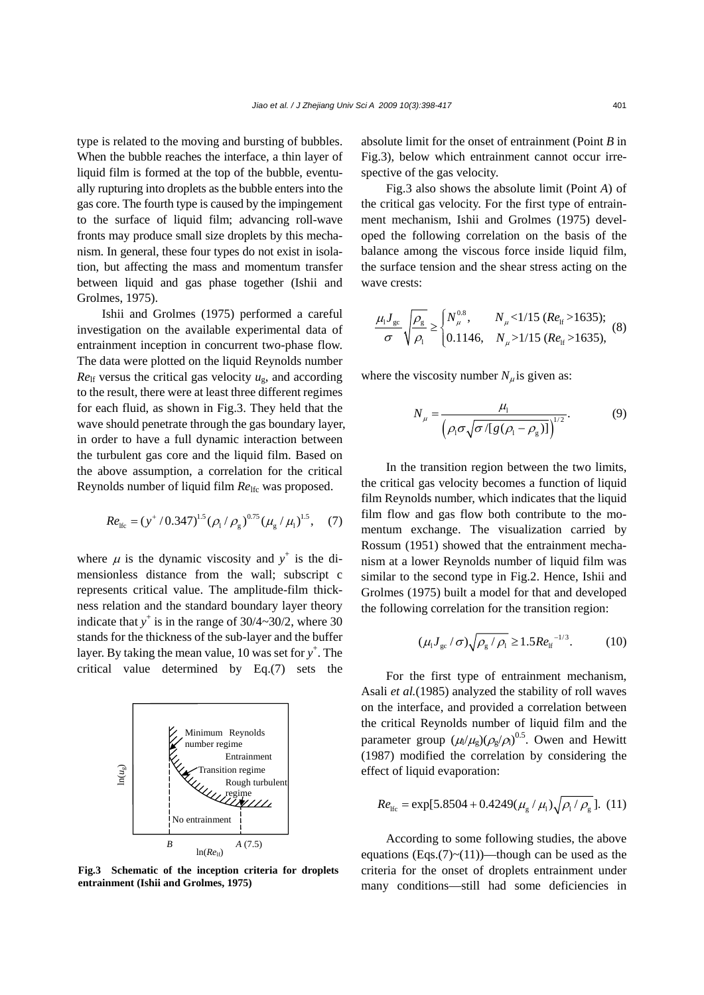type is related to the moving and bursting of bubbles. When the bubble reaches the interface, a thin layer of liquid film is formed at the top of the bubble, eventually rupturing into droplets as the bubble enters into the gas core. The fourth type is caused by the impingement to the surface of liquid film; advancing roll-wave fronts may produce small size droplets by this mechanism. In general, these four types do not exist in isolation, but affecting the mass and momentum transfer between liquid and gas phase together (Ishii and Grolmes, 1975).

Ishii and Grolmes (1975) performed a careful investigation on the available experimental data of entrainment inception in concurrent two-phase flow. The data were plotted on the liquid Reynolds number  $Re<sub>lf</sub>$  versus the critical gas velocity  $u<sub>g</sub>$ , and according to the result, there were at least three different regimes for each fluid, as shown in Fig.3. They held that the wave should penetrate through the gas boundary layer, in order to have a full dynamic interaction between the turbulent gas core and the liquid film. Based on the above assumption, a correlation for the critical Reynolds number of liquid film *Re*<sub>lfc</sub> was proposed.

$$
Re_{\text{lfc}} = (y^+/0.347)^{1.5} (\rho_1/\rho_g)^{0.75} (\mu_g/\mu_1)^{1.5}, \quad (7)
$$

where  $\mu$  is the dynamic viscosity and  $y^+$  is the dimensionless distance from the wall; subscript c represents critical value. The amplitude-film thickness relation and the standard boundary layer theory indicate that  $y^+$  is in the range of 30/4~30/2, where 30 stands for the thickness of the sub-layer and the buffer layer. By taking the mean value, 10 was set for  $y^+$ . The critical value determined by Eq.(7) sets the



**Fig.3 Schematic of the inception criteria for droplets**

absolute limit for the onset of entrainment (Point *B* in Fig.3), below which entrainment cannot occur irrespective of the gas velocity.

Fig.3 also shows the absolute limit (Point *A*) of the critical gas velocity. For the first type of entrainment mechanism, Ishii and Grolmes (1975) developed the following correlation on the basis of the balance among the viscous force inside liquid film, the surface tension and the shear stress acting on the wave crests:

$$
\frac{\mu_{\rm i}J_{\rm gc}}{\sigma}\sqrt{\frac{\rho_{\rm g}}{\rho_{\rm i}}} \ge \begin{cases} N_{\mu}^{0.8}, & N_{\mu} < 1/15 \ (Re_{\rm if} > 1635); \\ 0.1146, & N_{\mu} > 1/15 \ (Re_{\rm if} > 1635), \end{cases} (8)
$$

where the viscosity number  $N_{\mu}$  is given as:

$$
N_{\mu} = \frac{\mu_{\rm l}}{\left(\rho_{\rm l}\sigma\sqrt{\sigma/[g(\rho_{\rm l}-\rho_{\rm g})]}\right)^{1/2}}.\tag{9}
$$

In the transition region between the two limits, the critical gas velocity becomes a function of liquid film Reynolds number, which indicates that the liquid film flow and gas flow both contribute to the momentum exchange. The visualization carried by Rossum (1951) showed that the entrainment mechanism at a lower Reynolds number of liquid film was similar to the second type in Fig.2. Hence, Ishii and Grolmes (1975) built a model for that and developed the following correlation for the transition region:

$$
(\mu_{\rm l} J_{\rm gc} / \sigma) \sqrt{\rho_{\rm g} / \rho_{\rm l}} \ge 1.5 Re_{\rm l}^{-1/3}.
$$
 (10)

For the first type of entrainment mechanism, Asali *et al.*(1985) analyzed the stability of roll waves on the interface, and provided a correlation between the critical Reynolds number of liquid film and the parameter group  $(\mu_l/\mu_g)(\rho_g/\rho_l)^{0.5}$ . Owen and Hewitt (1987) modified the correlation by considering the effect of liquid evaporation:

$$
Re_{\text{lfc}} = \exp[5.8504 + 0.4249(\mu_{\text{g}} / \mu_{\text{l}})\sqrt{\rho_{\text{l}} / \rho_{\text{g}}}]
$$
. (11)

According to some following studies, the above equations  $(Eqs.(7)~(11))$ —though can be used as the criteria for the onset of droplets entrainment under many conditions—still had some deficiencies in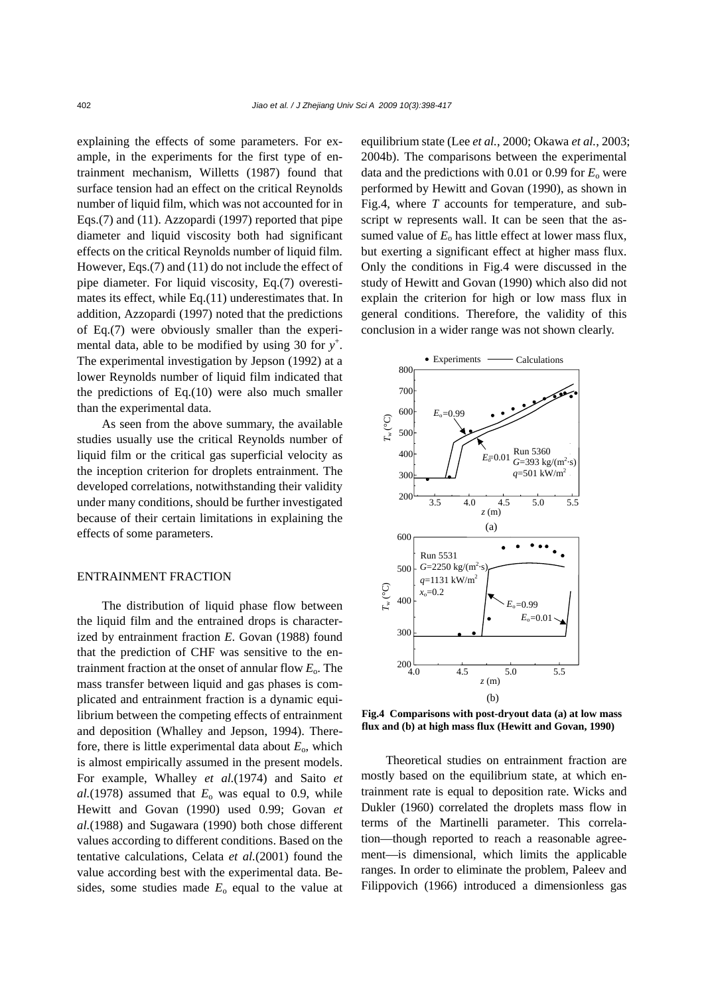explaining the effects of some parameters. For example, in the experiments for the first type of entrainment mechanism, Willetts (1987) found that surface tension had an effect on the critical Reynolds number of liquid film, which was not accounted for in Eqs.(7) and (11). Azzopardi (1997) reported that pipe diameter and liquid viscosity both had significant effects on the critical Reynolds number of liquid film. However, Eqs.(7) and (11) do not include the effect of pipe diameter. For liquid viscosity, Eq.(7) overestimates its effect, while Eq.(11) underestimates that. In addition, Azzopardi (1997) noted that the predictions of Eq.(7) were obviously smaller than the experimental data, able to be modified by using 30 for  $y^+$ . The experimental investigation by Jepson (1992) at a lower Reynolds number of liquid film indicated that the predictions of Eq.(10) were also much smaller than the experimental data.

As seen from the above summary, the available studies usually use the critical Reynolds number of liquid film or the critical gas superficial velocity as the inception criterion for droplets entrainment. The developed correlations, notwithstanding their validity under many conditions, should be further investigated because of their certain limitations in explaining the effects of some parameters.

#### ENTRAINMENT FRACTION

The distribution of liquid phase flow between the liquid film and the entrained drops is characterized by entrainment fraction *E*. Govan (1988) found that the prediction of CHF was sensitive to the entrainment fraction at the onset of annular flow *E*o. The mass transfer between liquid and gas phases is complicated and entrainment fraction is a dynamic equilibrium between the competing effects of entrainment and deposition (Whalley and Jepson, 1994). Therefore, there is little experimental data about  $E_0$ , which is almost empirically assumed in the present models. For example, Whalley *et al.*(1974) and Saito *et*   $al.$ (1978) assumed that  $E_0$  was equal to 0.9, while Hewitt and Govan (1990) used 0.99; Govan *et al.*(1988) and Sugawara (1990) both chose different values according to different conditions. Based on the tentative calculations, Celata *et al.*(2001) found the value according best with the experimental data. Besides, some studies made  $E_0$  equal to the value at equilibrium state (Lee *et al.*, 2000; Okawa *et al.*, 2003; 2004b). The comparisons between the experimental data and the predictions with  $0.01$  or  $0.99$  for  $E_0$  were performed by Hewitt and Govan (1990), as shown in Fig.4, where *T* accounts for temperature, and subscript w represents wall. It can be seen that the assumed value of  $E_0$  has little effect at lower mass flux, but exerting a significant effect at higher mass flux. Only the conditions in Fig.4 were discussed in the study of Hewitt and Govan (1990) which also did not explain the criterion for high or low mass flux in general conditions. Therefore, the validity of this conclusion in a wider range was not shown clearly.



**Fig.4 Comparisons with post-dryout data (a) at low mass flux and (b) at high mass flux (Hewitt and Govan, 1990)**

Theoretical studies on entrainment fraction are mostly based on the equilibrium state, at which entrainment rate is equal to deposition rate. Wicks and Dukler (1960) correlated the droplets mass flow in terms of the Martinelli parameter. This correlation—though reported to reach a reasonable agreement—is dimensional, which limits the applicable ranges. In order to eliminate the problem, Paleev and Filippovich (1966) introduced a dimensionless gas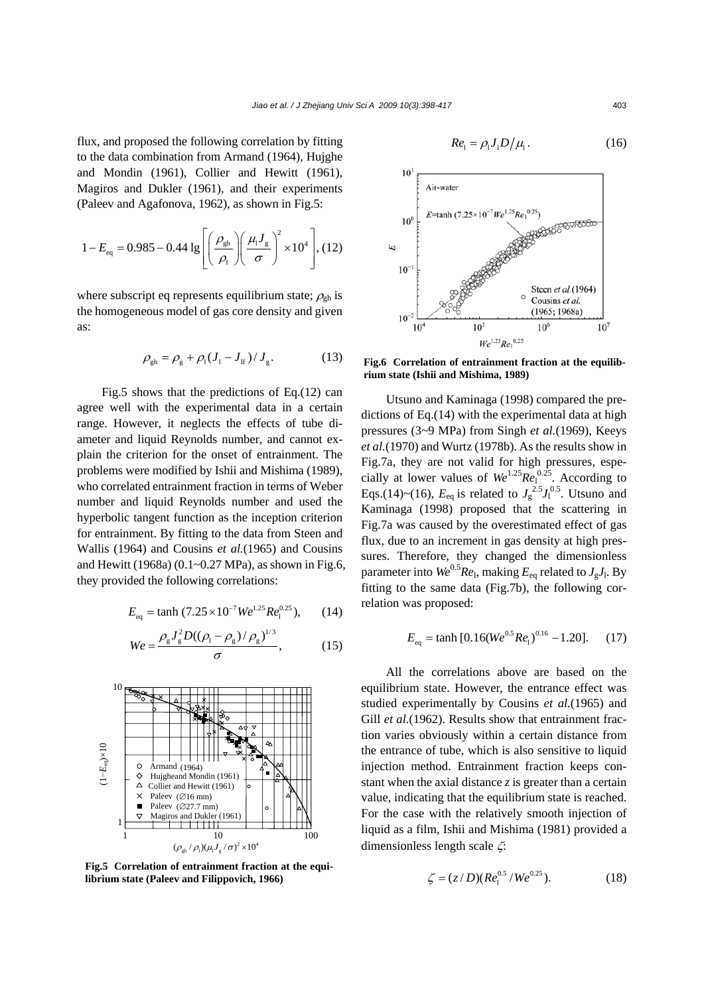flux, and proposed the following correlation by fitting to the data combination from Armand (1964), Hujghe and Mondin (1961), Collier and Hewitt (1961), Magiros and Dukler (1961), and their experiments (Paleev and Agafonova, 1962), as shown in Fig.5:

$$
1 - E_{\text{eq}} = 0.985 - 0.44 \lg \left[ \left( \frac{\rho_{\text{gh}}}{\rho_1} \right) \left( \frac{\mu_1 J_{\text{g}}}{\sigma} \right)^2 \times 10^4 \right], (12)
$$

where subscript eq represents equilibrium state;  $\rho_{gh}$  is the homogeneous model of gas core density and given as:

$$
\rho_{gh} = \rho_g + \rho_1 (J_1 - J_{\text{lf}}) / J_g. \tag{13}
$$

Fig.5 shows that the predictions of Eq.(12) can agree well with the experimental data in a certain range. However, it neglects the effects of tube diameter and liquid Reynolds number, and cannot explain the criterion for the onset of entrainment. The problems were modified by Ishii and Mishima (1989), who correlated entrainment fraction in terms of Weber number and liquid Reynolds number and used the hyperbolic tangent function as the inception criterion for entrainment. By fitting to the data from Steen and Wallis (1964) and Cousins *et al.*(1965) and Cousins and Hewitt (1968a) (0.1~0.27 MPa), as shown in Fig.6, they provided the following correlations:

$$
E_{\text{eq}} = \tanh\left(7.25 \times 10^{-7} \text{We}^{1.25} \text{Re}_1^{0.25}\right),\qquad(14)
$$

$$
We = \frac{\rho_{\rm g} J_{\rm g}^2 D((\rho_{\rm l} - \rho_{\rm g}) / \rho_{\rm g})^{1/3}}{\sigma}, \qquad (15)
$$



**Fig.5 Correlation of entrainment fraction at the equilibrium state (Paleev and Filippovich, 1966)** 

$$
Re_1 = \rho_1 J_1 D / \mu_1. \tag{16}
$$



**Fig.6 Correlation of entrainment fraction at the equilibrium state (Ishii and Mishima, 1989)** 

Utsuno and Kaminaga (1998) compared the predictions of Eq.(14) with the experimental data at high pressures (3~9 MPa) from Singh *et al.*(1969), Keeys *et al.*(1970) and Wurtz (1978b). As the results show in Fig.7a, they are not valid for high pressures, especially at lower values of  $We^{1.25}Re_1^{0.25}$ . According to Eqs.(14)~(16),  $E_{eq}$  is related to  $J_g^{2.5}J_1^{0.5}$ . Utsuno and Kaminaga (1998) proposed that the scattering in Fig.7a was caused by the overestimated effect of gas flux, due to an increment in gas density at high pressures. Therefore, they changed the dimensionless parameter into  $We^{0.5}Re_1$ , making  $E_{eq}$  related to  $J_gJ_1$ . By fitting to the same data (Fig.7b), the following correlation was proposed:

$$
E_{\text{eq}} = \tanh\left[0.16(We^{0.5}Re_1)^{0.16} - 1.20\right].
$$
 (17)

All the correlations above are based on the equilibrium state. However, the entrance effect was studied experimentally by Cousins *et al.*(1965) and Gill *et al.*(1962). Results show that entrainment fraction varies obviously within a certain distance from the entrance of tube, which is also sensitive to liquid injection method. Entrainment fraction keeps constant when the axial distance *z* is greater than a certain value, indicating that the equilibrium state is reached. For the case with the relatively smooth injection of liquid as a film, Ishii and Mishima (1981) provided a dimensionless length scale ζ:

$$
\zeta = (z/D)(Re_1^{0.5}/We^{0.25}).
$$
 (18)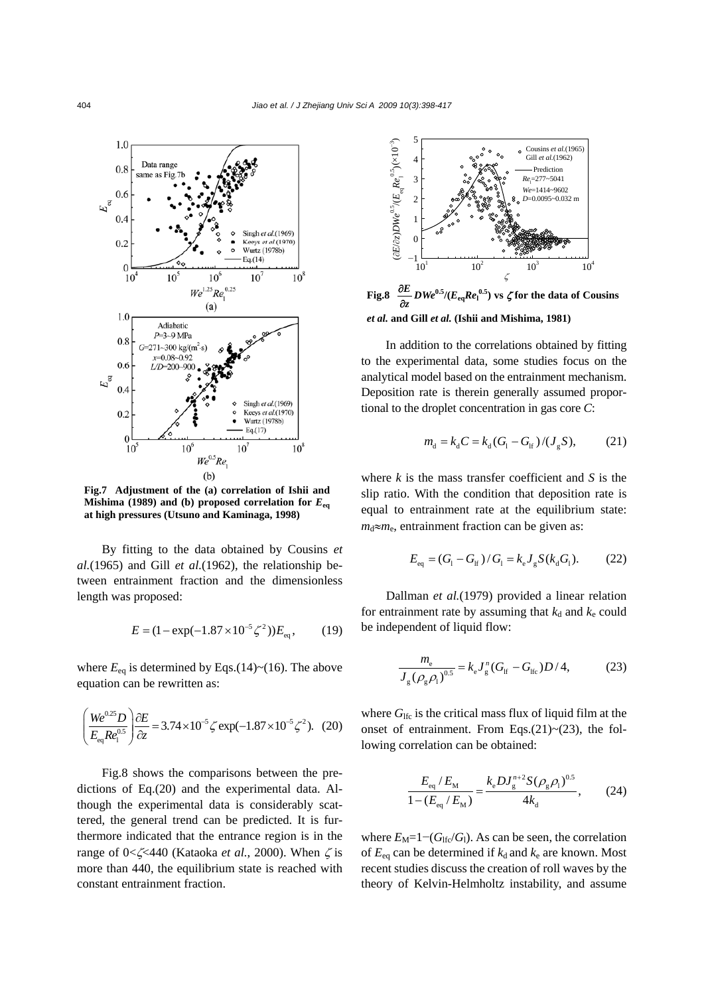

**Fig.7 Adjustment of the (a) correlation of Ishii and Mishima (1989) and (b) proposed correlation for**  $E_{eq}$ **at high pressures (Utsuno and Kaminaga, 1998)** 

By fitting to the data obtained by Cousins *et al.*(1965) and Gill *et al.*(1962), the relationship between entrainment fraction and the dimensionless length was proposed:

$$
E = (1 - \exp(-1.87 \times 10^{-5} \zeta^2))E_{\text{eq}}, \qquad (19)
$$

where  $E_{eq}$  is determined by Eqs.(14)~(16). The above equation can be rewritten as:

$$
\left(\frac{We^{0.25}D}{E_{eq}Re_1^{0.5}}\right)\frac{\partial E}{\partial z} = 3.74 \times 10^{-5} \zeta \exp(-1.87 \times 10^{-5} \zeta^2). (20)
$$

Fig.8 shows the comparisons between the predictions of Eq.(20) and the experimental data. Although the experimental data is considerably scattered, the general trend can be predicted. It is furthermore indicated that the entrance region is in the range of 0<ζ<440 (Kataoka *et al.*, 2000). When ζ is more than 440, the equilibrium state is reached with constant entrainment fraction.



Fig.8  $\frac{\partial E}{\partial z}$ ∂  $\frac{\partial E}{\partial z} DW^{0.5}/(E_{eq}Re_1^{0.5})$  vs  $\zeta$  for the data of Cousins *et al.* **and Gill** *et al.* **(Ishii and Mishima, 1981)** 

In addition to the correlations obtained by fitting to the experimental data, some studies focus on the analytical model based on the entrainment mechanism. Deposition rate is therein generally assumed proportional to the droplet concentration in gas core *C*:

$$
m_{d} = k_{d} C = k_{d} (G_{1} - G_{\text{lf}}) / (J_{g} S), \tag{21}
$$

where *k* is the mass transfer coefficient and *S* is the slip ratio. With the condition that deposition rate is equal to entrainment rate at the equilibrium state: *m*<sub>d</sub>≈*m*<sub>e</sub>, entrainment fraction can be given as:

$$
E_{\text{eq}} = (G_{\text{l}} - G_{\text{lf}}) / G_{\text{l}} = k_{\text{e}} J_{\text{g}} S (k_{\text{d}} G_{\text{l}}). \tag{22}
$$

Dallman *et al.*(1979) provided a linear relation for entrainment rate by assuming that  $k_d$  and  $k_e$  could be independent of liquid flow:

$$
\frac{m_e}{J_g(\rho_g \rho_l)^{0.5}} = k_e J_g^n(G_{\text{lf}} - G_{\text{lfc}})D/4,
$$
 (23)

where  $G_{\text{lfc}}$  is the critical mass flux of liquid film at the onset of entrainment. From Eqs.(21)~(23), the following correlation can be obtained:

$$
\frac{E_{\text{eq}}/E_{\text{M}}}{1 - (E_{\text{eq}}/E_{\text{M}})} = \frac{k_{\text{e}} D J_{\text{g}}^{n+2} S (\rho_{\text{g}} \rho_{\text{l}})^{0.5}}{4k_{\text{d}}},\qquad(24)
$$

where  $E_M=1-(G_{\text{lfc}}/G_l)$ . As can be seen, the correlation of  $E_{eq}$  can be determined if  $k_d$  and  $k_e$  are known. Most recent studies discuss the creation of roll waves by the theory of Kelvin-Helmholtz instability, and assume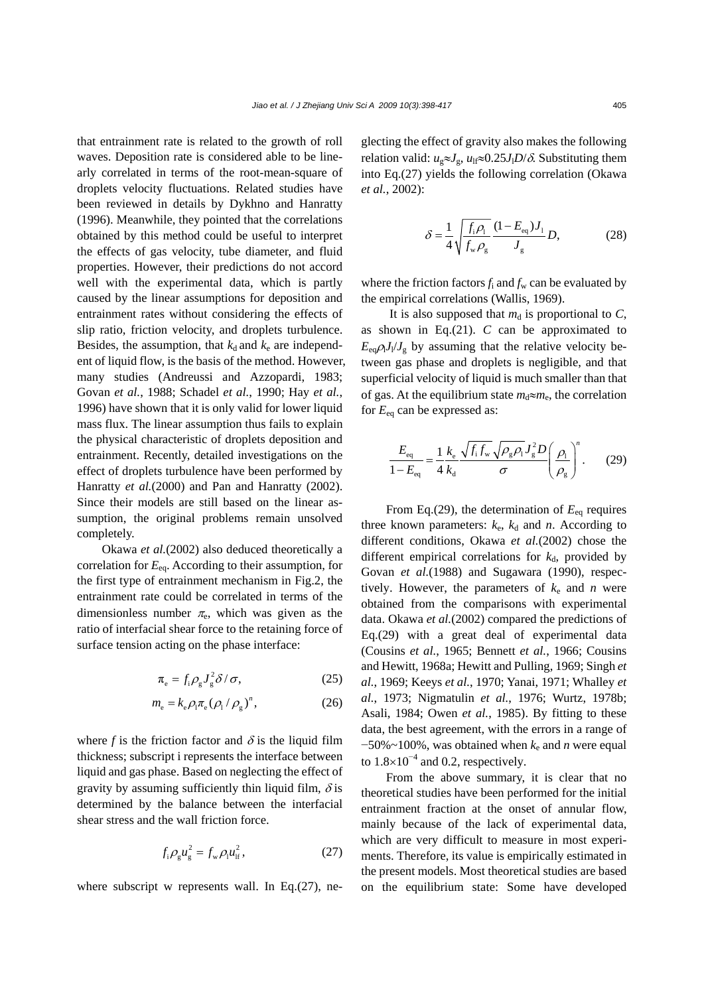that entrainment rate is related to the growth of roll waves. Deposition rate is considered able to be linearly correlated in terms of the root-mean-square of droplets velocity fluctuations. Related studies have been reviewed in details by Dykhno and Hanratty (1996). Meanwhile, they pointed that the correlations obtained by this method could be useful to interpret the effects of gas velocity, tube diameter, and fluid properties. However, their predictions do not accord well with the experimental data, which is partly caused by the linear assumptions for deposition and entrainment rates without considering the effects of slip ratio, friction velocity, and droplets turbulence. Besides, the assumption, that  $k_d$  and  $k_e$  are independent of liquid flow, is the basis of the method. However, many studies (Andreussi and Azzopardi, 1983; Govan *et al.*, 1988; Schadel *et al.*, 1990; Hay *et al.*, 1996) have shown that it is only valid for lower liquid mass flux. The linear assumption thus fails to explain the physical characteristic of droplets deposition and entrainment. Recently, detailed investigations on the effect of droplets turbulence have been performed by Hanratty *et al.*(2000) and Pan and Hanratty (2002). Since their models are still based on the linear assumption, the original problems remain unsolved completely.

Okawa *et al.*(2002) also deduced theoretically a correlation for *E*eq. According to their assumption, for the first type of entrainment mechanism in Fig.2, the entrainment rate could be correlated in terms of the dimensionless number  $\pi_e$ , which was given as the ratio of interfacial shear force to the retaining force of surface tension acting on the phase interface:

$$
\pi_{\rm e} = f_{\rm i} \rho_{\rm g} J_{\rm g}^2 \delta / \sigma,\tag{25}
$$

$$
m_{\rm e} = k_{\rm e} \rho_{\rm l} \pi_{\rm e} (\rho_{\rm l} / \rho_{\rm g})^n, \tag{26}
$$

where *f* is the friction factor and  $\delta$  is the liquid film thickness; subscript i represents the interface between liquid and gas phase. Based on neglecting the effect of gravity by assuming sufficiently thin liquid film,  $\delta$  is determined by the balance between the interfacial shear stress and the wall friction force.

$$
f_{\rm i}\rho_{\rm g}u_{\rm g}^2 = f_{\rm w}\rho_{\rm l}u_{\rm l}^2,\tag{27}
$$

where subscript w represents wall. In Eq.(27), ne-

glecting the effect of gravity also makes the following relation valid:  $u_g \approx J_g$ ,  $u_{\text{lf}} \approx 0.25 J_1 D / \delta$ . Substituting them into Eq.(27) yields the following correlation (Okawa *et al.*, 2002):

$$
\delta = \frac{1}{4} \sqrt{\frac{f_i \rho_i}{f_w \rho_g}} \frac{(1 - E_{\text{eq}}) J_1}{J_g} D, \qquad (28)
$$

where the friction factors  $f_i$  and  $f_w$  can be evaluated by the empirical correlations (Wallis, 1969).

It is also supposed that  $m_d$  is proportional to  $C$ , as shown in Eq.(21). *C* can be approximated to  $E_{eq}$  $\rho$ *J*<sub>l</sub> $J_g$  by assuming that the relative velocity between gas phase and droplets is negligible, and that superficial velocity of liquid is much smaller than that of gas. At the equilibrium state  $m_d \approx m_e$ , the correlation for *E*eq can be expressed as:

$$
\frac{E_{\text{eq}}}{1 - E_{\text{eq}}} = \frac{1}{4} \frac{k_{\text{e}}}{k_{\text{d}}} \frac{\sqrt{f_i f_{\text{w}}} \sqrt{\rho_{\text{g}} \rho_i} J_{\text{g}}^2 D}{\sigma} \left(\frac{\rho_1}{\rho_{\text{g}}}\right)^n. \tag{29}
$$

From Eq.(29), the determination of  $E_{eq}$  requires three known parameters:  $k_e$ ,  $k_d$  and *n*. According to different conditions, Okawa *et al.*(2002) chose the different empirical correlations for  $k_d$ , provided by Govan *et al.*(1988) and Sugawara (1990), respectively. However, the parameters of  $k_e$  and *n* were obtained from the comparisons with experimental data. Okawa *et al.*(2002) compared the predictions of Eq.(29) with a great deal of experimental data (Cousins *et al.*, 1965; Bennett *et al.*, 1966; Cousins and Hewitt, 1968a; Hewitt and Pulling, 1969; Singh *et al.*, 1969; Keeys *et al.*, 1970; Yanai, 1971; Whalley *et al.*, 1973; Nigmatulin *et al.*, 1976; Wurtz, 1978b; Asali, 1984; Owen *et al.*, 1985). By fitting to these data, the best agreement, with the errors in a range of −50%~100%, was obtained when *k*e and *n* were equal to  $1.8 \times 10^{-4}$  and 0.2, respectively.

From the above summary, it is clear that no theoretical studies have been performed for the initial entrainment fraction at the onset of annular flow, mainly because of the lack of experimental data, which are very difficult to measure in most experiments. Therefore, its value is empirically estimated in the present models. Most theoretical studies are based on the equilibrium state: Some have developed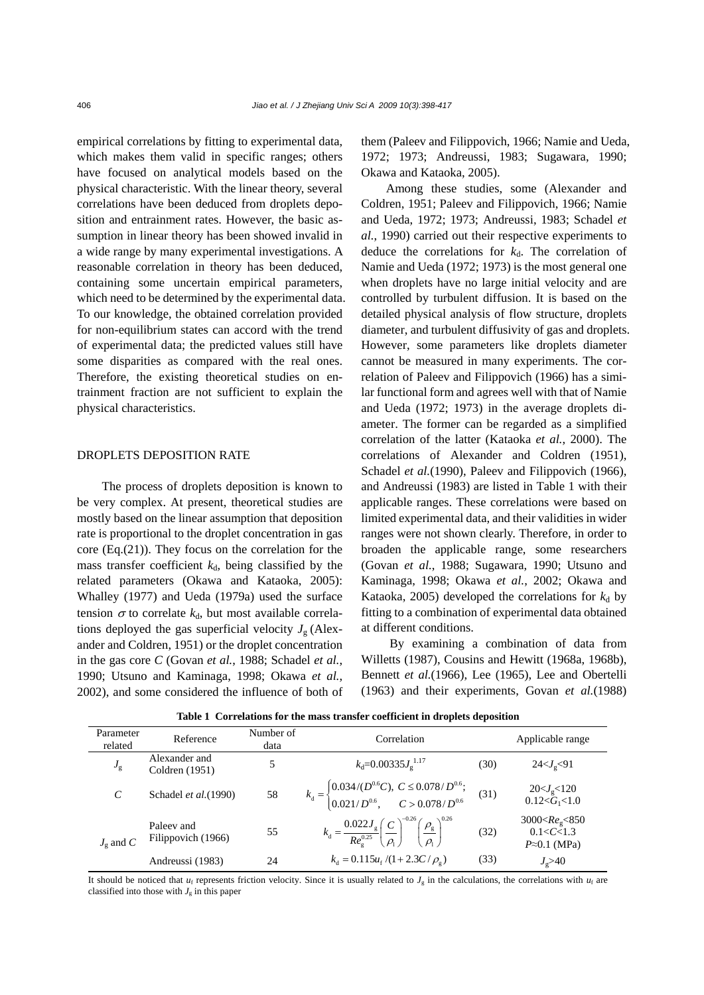empirical correlations by fitting to experimental data, which makes them valid in specific ranges; others have focused on analytical models based on the physical characteristic. With the linear theory, several correlations have been deduced from droplets deposition and entrainment rates. However, the basic assumption in linear theory has been showed invalid in a wide range by many experimental investigations. A reasonable correlation in theory has been deduced, containing some uncertain empirical parameters, which need to be determined by the experimental data. To our knowledge, the obtained correlation provided for non-equilibrium states can accord with the trend of experimental data; the predicted values still have some disparities as compared with the real ones. Therefore, the existing theoretical studies on entrainment fraction are not sufficient to explain the physical characteristics.

#### DROPLETS DEPOSITION RATE

The process of droplets deposition is known to be very complex. At present, theoretical studies are mostly based on the linear assumption that deposition rate is proportional to the droplet concentration in gas core (Eq.(21)). They focus on the correlation for the mass transfer coefficient  $k_d$ , being classified by the related parameters (Okawa and Kataoka, 2005): Whalley (1977) and Ueda (1979a) used the surface tension  $\sigma$  to correlate  $k_d$ , but most available correlations deployed the gas superficial velocity  $J_g$  (Alexander and Coldren, 1951) or the droplet concentration in the gas core *C* (Govan *et al.*, 1988; Schadel *et al.*, 1990; Utsuno and Kaminaga, 1998; Okawa *et al.*, 2002), and some considered the influence of both of them (Paleev and Filippovich, 1966; Namie and Ueda, 1972; 1973; Andreussi, 1983; Sugawara, 1990; Okawa and Kataoka, 2005).

Among these studies, some (Alexander and Coldren, 1951; Paleev and Filippovich, 1966; Namie and Ueda, 1972; 1973; Andreussi, 1983; Schadel *et al.*, 1990) carried out their respective experiments to deduce the correlations for  $k_d$ . The correlation of Namie and Ueda (1972; 1973) is the most general one when droplets have no large initial velocity and are controlled by turbulent diffusion. It is based on the detailed physical analysis of flow structure, droplets diameter, and turbulent diffusivity of gas and droplets. However, some parameters like droplets diameter cannot be measured in many experiments. The correlation of Paleev and Filippovich (1966) has a similar functional form and agrees well with that of Namie and Ueda (1972; 1973) in the average droplets diameter. The former can be regarded as a simplified correlation of the latter (Kataoka *et al.*, 2000). The correlations of Alexander and Coldren (1951), Schadel *et al.*(1990), Paleev and Filippovich (1966), and Andreussi (1983) are listed in Table 1 with their applicable ranges. These correlations were based on limited experimental data, and their validities in wider ranges were not shown clearly. Therefore, in order to broaden the applicable range, some researchers (Govan *et al.*, 1988; Sugawara, 1990; Utsuno and Kaminaga, 1998; Okawa *et al.*, 2002; Okawa and Kataoka, 2005) developed the correlations for  $k_d$  by fitting to a combination of experimental data obtained at different conditions.

By examining a combination of data from Willetts (1987), Cousins and Hewitt (1968a, 1968b), Bennett *et al.*(1966), Lee (1965), Lee and Obertelli (1963) and their experiments, Govan *et al.*(1988)

| Parameter<br>related | Reference                        | Number of<br>data | Correlation                                                                                                                                               |      | Applicable range                                           |
|----------------------|----------------------------------|-------------------|-----------------------------------------------------------------------------------------------------------------------------------------------------------|------|------------------------------------------------------------|
| $J_{\rm g}$          | Alexander and<br>Coldren (1951)  | 5                 | $k_{\rm d}$ =0.00335 $J_{\rm g}$ <sup>1.17</sup>                                                                                                          | (30) | 24 < J <sub>0</sub> < 91                                   |
| C                    | Schadel et al. (1990)            | 58                | $k_{\rm d} = \begin{cases} 0.034/(D^{0.6}C),\ C \le 0.078/D^{0.6};\\ 0.021/D^{0.6},\ C > 0.078/D^{0.6} \end{cases}$ (31)                                  |      | 20 < J <sub>g</sub> < 120<br>$0.12 < \mathcal{C}_1 < 1.0$  |
| $J_{\rm g}$ and $C$  | Paleev and<br>Filippovich (1966) | 55                | $k_{\rm d} = \frac{0.022 J_{\rm g}}{Re_{\rm g}^{0.25}} \left(\frac{C}{\rho_{\rm l}}\right)^{-0.26} \left(\frac{\rho_{\rm g}}{\rho_{\rm l}}\right)^{0.26}$ | (32) | 3000< $Reg$ <850<br>0.1 < C < 1.3<br>$P \approx 0.1$ (MPa) |
|                      | Andreussi (1983)                 | 24                | $k_{\rm d} = 0.115u_{\rm f}/(1+2.3C/\rho_{\rm g})$                                                                                                        | (33) | $J_{\circ} > 40$                                           |

**Table 1 Correlations for the mass transfer coefficient in droplets deposition** 

It should be noticed that  $u_f$  represents friction velocity. Since it is usually related to  $J_g$  in the calculations, the correlations with  $u_f$  are classified into those with  $J_{g}$  in this paper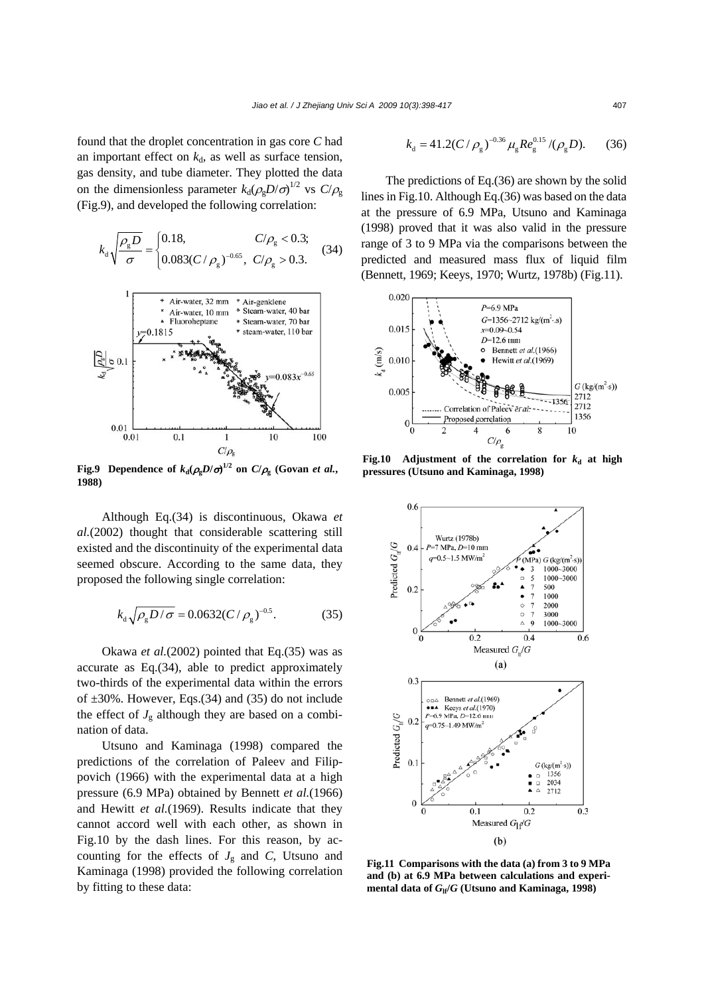found that the droplet concentration in gas core *C* had an important effect on  $k_d$ , as well as surface tension, gas density, and tube diameter. They plotted the data on the dimensionless parameter  $k_d(\rho_g D/\sigma)^{1/2}$  vs  $C/\rho_g$ (Fig.9), and developed the following correlation:

$$
k_{\rm d} \sqrt{\frac{\rho_{\rm g} D}{\sigma}} = \begin{cases} 0.18, & C/\rho_{\rm g} < 0.3; \\ 0.083(C/\rho_{\rm g})^{-0.65}, & C/\rho_{\rm g} > 0.3. \end{cases} (34)
$$



**Fig.9** Dependence of  $k_d(\rho_g D/\sigma)^{1/2}$  on  $C/\rho_g$  (Govan *et al.*, **1988)** 

Although Eq.(34) is discontinuous, Okawa *et al.*(2002) thought that considerable scattering still existed and the discontinuity of the experimental data seemed obscure. According to the same data, they proposed the following single correlation:

$$
k_{\rm d}\sqrt{\rho_{\rm g}D/\sigma} = 0.0632 (C/\rho_{\rm g})^{-0.5}.
$$
 (35)

Okawa *et al.*(2002) pointed that Eq.(35) was as accurate as Eq.(34), able to predict approximately two-thirds of the experimental data within the errors of  $\pm 30\%$ . However, Eqs.(34) and (35) do not include the effect of  $J<sub>g</sub>$  although they are based on a combination of data.

Utsuno and Kaminaga (1998) compared the predictions of the correlation of Paleev and Filippovich (1966) with the experimental data at a high pressure (6.9 MPa) obtained by Bennett *et al.*(1966) and Hewitt *et al.*(1969). Results indicate that they cannot accord well with each other, as shown in Fig.10 by the dash lines. For this reason, by accounting for the effects of  $J_g$  and *C*, Utsuno and Kaminaga (1998) provided the following correlation by fitting to these data:

$$
k_{\rm d} = 41.2 (C/\rho_{\rm g})^{-0.36} \mu_{\rm g} Re_{\rm g}^{0.15} / (\rho_{\rm g} D). \tag{36}
$$

The predictions of Eq.(36) are shown by the solid lines in Fig.10. Although Eq.(36) was based on the data at the pressure of 6.9 MPa, Utsuno and Kaminaga (1998) proved that it was also valid in the pressure range of 3 to 9 MPa via the comparisons between the predicted and measured mass flux of liquid film (Bennett, 1969; Keeys, 1970; Wurtz, 1978b) (Fig.11).



**Fig.10** Adjustment of the correlation for  $k_d$  at high **pressures (Utsuno and Kaminaga, 1998)** 



**Fig.11 Comparisons with the data (a) from 3 to 9 MPa and (b) at 6.9 MPa between calculations and experi**mental data of  $G<sub>lf</sub>/G$  (Utsuno and Kaminaga, 1998)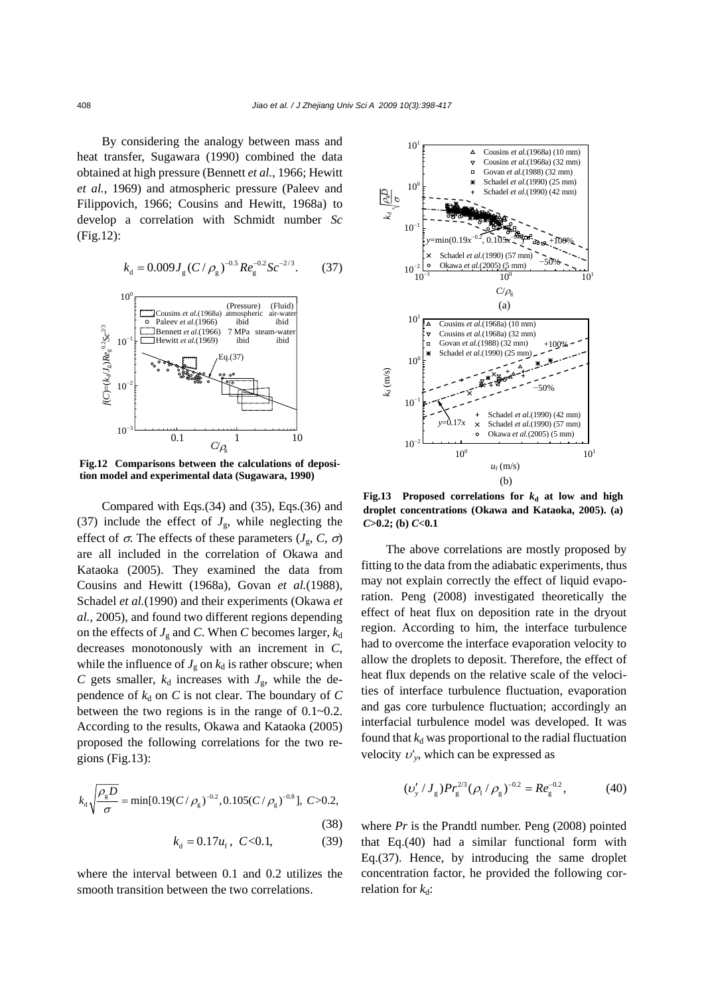By considering the analogy between mass and heat transfer, Sugawara (1990) combined the data obtained at high pressure (Bennett *et al.*, 1966; Hewitt *et al.*, 1969) and atmospheric pressure (Paleev and Filippovich, 1966; Cousins and Hewitt, 1968a) to develop a correlation with Schmidt number *Sc* (Fig.12):

$$
k_{\rm d} = 0.009 J_{\rm g} (C/\rho_{\rm g})^{-0.5} Re_{\rm g}^{-0.2} Sc^{-2/3}.
$$
 (37)



**Fig.12 Comparisons between the calculations of deposition model and experimental data (Sugawara, 1990)** 

Compared with Eqs.(34) and (35), Eqs.(36) and (37) include the effect of  $J_g$ , while neglecting the effect of  $\sigma$ . The effects of these parameters  $(J_{\sigma}, C, \sigma)$ are all included in the correlation of Okawa and Kataoka (2005). They examined the data from Cousins and Hewitt (1968a), Govan *et al.*(1988), Schadel *et al.*(1990) and their experiments (Okawa *et al.*, 2005), and found two different regions depending on the effects of  $J_g$  and *C*. When *C* becomes larger,  $k_d$ decreases monotonously with an increment in *C*, while the influence of  $J_g$  on  $k_d$  is rather obscure; when *C* gets smaller,  $k_d$  increases with  $J_g$ , while the dependence of  $k_d$  on C is not clear. The boundary of C between the two regions is in the range of 0.1~0.2. According to the results, Okawa and Kataoka (2005) proposed the following correlations for the two regions (Fig.13):

$$
k_{\rm d} \sqrt{\frac{\rho_{\rm g} D}{\sigma}} = \min[0.19(C/\rho_{\rm g})^{-0.2}, 0.105(C/\rho_{\rm g})^{-0.8}], C>0.2,
$$
\n(38)\n
$$
k_{\rm d} = 0.17u_{\rm f}, C<0.1,
$$
\n(39)

where the interval between 0.1 and 0.2 utilizes the smooth transition between the two correlations.



**Fig.13** Proposed correlations for  $k_d$  at low and high **droplet concentrations (Okawa and Kataoka, 2005). (a)** *C***>0.2; (b)** *C***<0.1** 

The above correlations are mostly proposed by fitting to the data from the adiabatic experiments, thus may not explain correctly the effect of liquid evaporation. Peng (2008) investigated theoretically the effect of heat flux on deposition rate in the dryout region. According to him, the interface turbulence had to overcome the interface evaporation velocity to allow the droplets to deposit. Therefore, the effect of heat flux depends on the relative scale of the velocities of interface turbulence fluctuation, evaporation and gas core turbulence fluctuation; accordingly an interfacial turbulence model was developed. It was found that  $k_d$  was proportional to the radial fluctuation velocity υ*'y*, which can be expressed as

$$
(\nu'_{y}/J_{g})Pr_{g}^{2/3}(\rho_{1}/\rho_{g})^{-0.2}=Re_{g}^{-0.2},
$$
 (40)

where *Pr* is the Prandtl number. Peng (2008) pointed that Eq.(40) had a similar functional form with Eq.(37). Hence, by introducing the same droplet concentration factor, he provided the following correlation for  $k_d$ :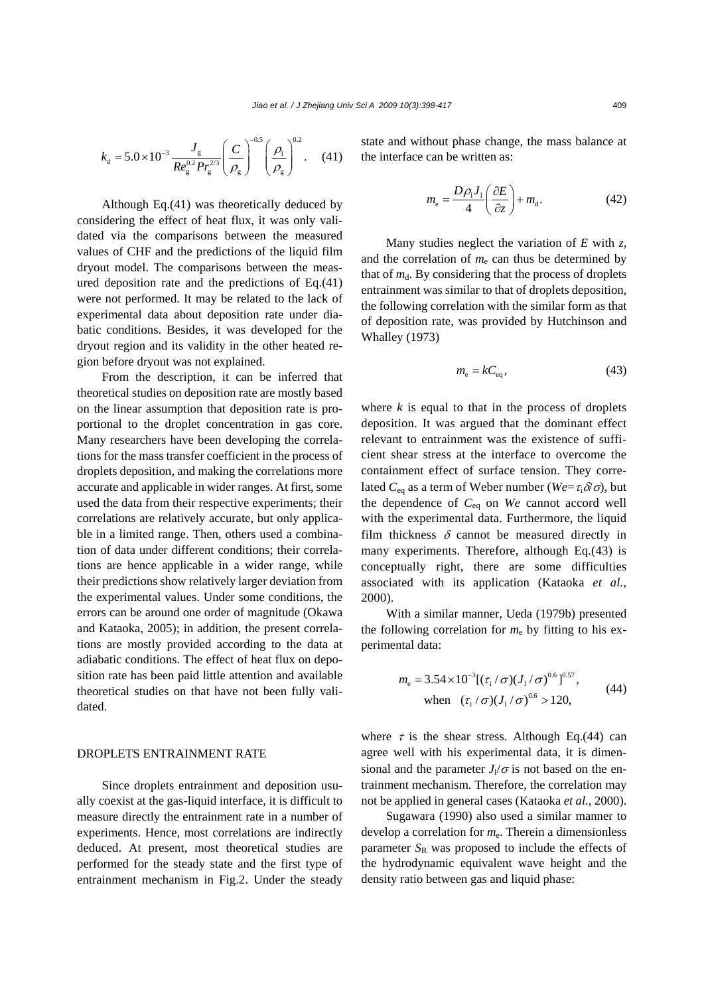$$
k_{\rm d} = 5.0 \times 10^{-3} \frac{J_{\rm g}}{Re_{\rm g}^{0.2} Pr_{\rm g}^{2/3}} \left(\frac{C}{\rho_{\rm g}}\right)^{-0.5} \left(\frac{\rho_{\rm l}}{\rho_{\rm g}}\right)^{0.2}.
$$
 (41)

Although Eq.(41) was theoretically deduced by considering the effect of heat flux, it was only validated via the comparisons between the measured values of CHF and the predictions of the liquid film dryout model. The comparisons between the measured deposition rate and the predictions of Eq.(41) were not performed. It may be related to the lack of experimental data about deposition rate under diabatic conditions. Besides, it was developed for the dryout region and its validity in the other heated region before dryout was not explained.

From the description, it can be inferred that theoretical studies on deposition rate are mostly based on the linear assumption that deposition rate is proportional to the droplet concentration in gas core. Many researchers have been developing the correlations for the mass transfer coefficient in the process of droplets deposition, and making the correlations more accurate and applicable in wider ranges. At first, some used the data from their respective experiments; their correlations are relatively accurate, but only applicable in a limited range. Then, others used a combination of data under different conditions; their correlations are hence applicable in a wider range, while their predictions show relatively larger deviation from the experimental values. Under some conditions, the errors can be around one order of magnitude (Okawa and Kataoka, 2005); in addition, the present correlations are mostly provided according to the data at adiabatic conditions. The effect of heat flux on deposition rate has been paid little attention and available theoretical studies on that have not been fully validated.

#### DROPLETS ENTRAINMENT RATE

Since droplets entrainment and deposition usually coexist at the gas-liquid interface, it is difficult to measure directly the entrainment rate in a number of experiments. Hence, most correlations are indirectly deduced. At present, most theoretical studies are performed for the steady state and the first type of entrainment mechanism in Fig.2. Under the steady

state and without phase change, the mass balance at the interface can be written as:

$$
m_{\rm e} = \frac{D\rho_{\rm i}J_{\rm i}}{4} \left(\frac{\partial E}{\partial z}\right) + m_{\rm d}.\tag{42}
$$

Many studies neglect the variation of *E* with *z*, and the correlation of  $m_e$  can thus be determined by that of  $m_d$ . By considering that the process of droplets entrainment was similar to that of droplets deposition, the following correlation with the similar form as that of deposition rate, was provided by Hutchinson and Whalley (1973)

$$
m_{\rm e} = kC_{\rm eq},\tag{43}
$$

where  $k$  is equal to that in the process of droplets deposition. It was argued that the dominant effect relevant to entrainment was the existence of sufficient shear stress at the interface to overcome the containment effect of surface tension. They correlated  $C_{eq}$  as a term of Weber number ( $We = \tau_i \delta \sigma$ ), but the dependence of *C*eq on *We* cannot accord well with the experimental data. Furthermore, the liquid film thickness  $\delta$  cannot be measured directly in many experiments. Therefore, although Eq.(43) is conceptually right, there are some difficulties associated with its application (Kataoka *et al.*, 2000).

With a similar manner, Ueda (1979b) presented the following correlation for  $m_e$  by fitting to his experimental data:

$$
m_e = 3.54 \times 10^{-3} [(\tau_i/\sigma)(J_1/\sigma)^{0.6}]^{0.57},
$$
  
when  $(\tau_i/\sigma)(J_1/\sigma)^{0.6} > 120,$  (44)

where  $\tau$  is the shear stress. Although Eq.(44) can agree well with his experimental data, it is dimensional and the parameter  $J_1/\sigma$  is not based on the entrainment mechanism. Therefore, the correlation may not be applied in general cases (Kataoka *et al.*, 2000).

Sugawara (1990) also used a similar manner to develop a correlation for  $m_e$ . Therein a dimensionless parameter  $S_R$  was proposed to include the effects of the hydrodynamic equivalent wave height and the density ratio between gas and liquid phase: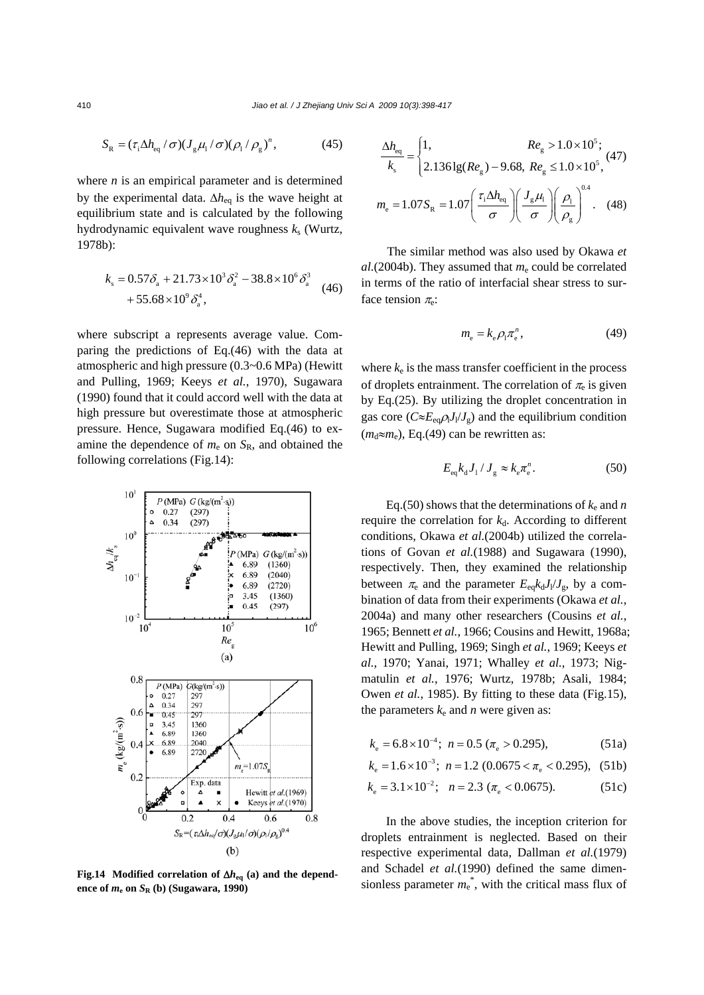$$
S_{\rm R} = (\tau_{\rm i} \Delta h_{\rm eq} / \sigma) (J_{\rm g} \mu_{\rm l} / \sigma) (\rho_{\rm l} / \rho_{\rm g})^n, \tag{45}
$$

where *n* is an empirical parameter and is determined by the experimental data. Δ*h*eq is the wave height at equilibrium state and is calculated by the following hydrodynamic equivalent wave roughness *k*s (Wurtz, 1978b):

$$
k_{\rm s} = 0.57\delta_{\rm a} + 21.73 \times 10^3 \delta_{\rm a}^2 - 38.8 \times 10^6 \delta_{\rm a}^3
$$
  
+ 55.68×10<sup>9</sup>  $\delta_{\rm a}^4$ , (46)

where subscript a represents average value. Comparing the predictions of Eq.(46) with the data at atmospheric and high pressure (0.3~0.6 MPa) (Hewitt and Pulling, 1969; Keeys *et al.*, 1970), Sugawara (1990) found that it could accord well with the data at high pressure but overestimate those at atmospheric pressure. Hence, Sugawara modified Eq.(46) to examine the dependence of  $m_e$  on  $S_R$ , and obtained the following correlations (Fig.14):



**ence of**  $m_e$  **on**  $S_R$  **(b) (Sugawara, 1990)** 

$$
\frac{\Delta h_{\text{eq}}}{k_{\text{s}}} = \begin{cases} 1, & Re_{g} > 1.0 \times 10^{5}; \\ 2.1361 \text{g}(Re_{g}) - 9.68, & Re_{g} \le 1.0 \times 10^{5}, \end{cases} (47)
$$
\n
$$
m_{\text{e}} = 1.07 S_{\text{R}} = 1.07 \left( \frac{\tau_{\text{i}} \Delta h_{\text{eq}}}{\sigma} \right) \left( \frac{J_{g} \mu_{\text{i}}}{\sigma} \right) \left( \frac{\rho_{\text{i}}}{\rho_{g}} \right)^{0.4}. \quad (48)
$$

The similar method was also used by Okawa *et*   $al$ .(2004b). They assumed that  $m_e$  could be correlated in terms of the ratio of interfacial shear stress to surface tension  $\pi$ :

$$
m_{\rm e} = k_{\rm e} \rho_{\rm l} \pi_{\rm e}^n, \tag{49}
$$

where  $k<sub>e</sub>$  is the mass transfer coefficient in the process of droplets entrainment. The correlation of  $\pi_e$  is given by Eq.(25). By utilizing the droplet concentration in gas core ( $C \approx E_{eq} \rho J / J_g$ ) and the equilibrium condition  $(m_d \approx m_e)$ , Eq.(49) can be rewritten as:

$$
E_{\rm eq} k_{\rm d} J_1 / J_{\rm g} \approx k_{\rm e} \pi_{\rm e}^n. \tag{50}
$$

Eq.(50) shows that the determinations of  $k_e$  and *n* require the correlation for  $k_d$ . According to different conditions, Okawa *et al.*(2004b) utilized the correlations of Govan *et al.*(1988) and Sugawara (1990), respectively. Then, they examined the relationship between  $\pi_e$  and the parameter  $E_{eq}k_dJ_l/J_g$ , by a combination of data from their experiments (Okawa *et al.*, 2004a) and many other researchers (Cousins *et al.*, 1965; Bennett *et al.*, 1966; Cousins and Hewitt, 1968a; Hewitt and Pulling, 1969; Singh *et al.*, 1969; Keeys *et al.*, 1970; Yanai, 1971; Whalley *et al.*, 1973; Nigmatulin *et al.*, 1976; Wurtz, 1978b; Asali, 1984; Owen *et al.*, 1985). By fitting to these data (Fig.15), the parameters  $k_e$  and *n* were given as:

 $k_e = 6.8 \times 10^{-4}$ ;  $n = 0.5 \ (\pi_e > 0.295)$ , (51a)

$$
k_{\rm e} = 1.6 \times 10^{-3}; \ n = 1.2 \ (0.0675 < \pi_{\rm e} < 0.295), \ (51b)
$$

$$
k_{\rm e} = 3.1 \times 10^{-2}; \quad n = 2.3 \; (\pi_{\rm e} < 0.0675). \tag{51c}
$$

In the above studies, the inception criterion for droplets entrainment is neglected. Based on their respective experimental data, Dallman *et al.*(1979) and Schadel *et al.*(1990) defined the same dimen-Fig.14 Modified correlation of  $\Delta h_{eq}$  (a) and the depend-<br>ence of  $m_e$  on  $S_R$  (b) (Sugawara, 1990)<br>sionless parameter  $m_e^*$ , with the critical mass flux of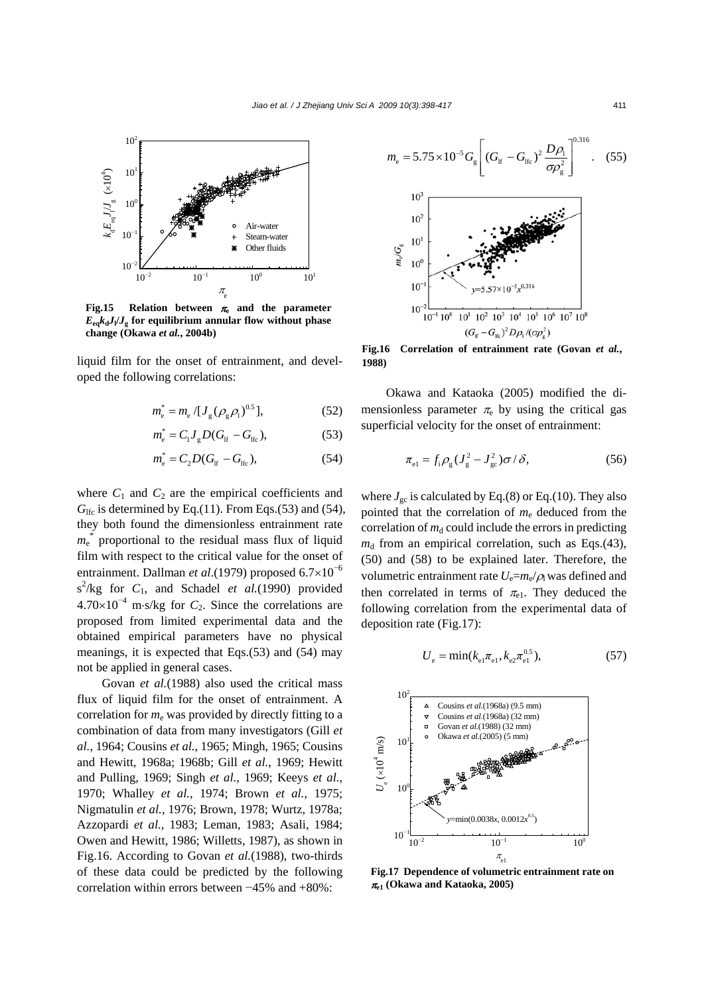

**Fig.15** Relation between  $\pi_e$  and the parameter  $E_{\text{eq}}k_dJ_l/J_g$  for equilibrium annular flow without phase **change (Okawa** *et al.***, 2004b)** 

liquid film for the onset of entrainment, and developed the following correlations:

$$
m_{\rm e}^* = m_{\rm e} / [J_{\rm g} (\rho_{\rm g} \rho_{\rm l})^{0.5}], \tag{52}
$$

$$
m_{\rm e}^* = C_1 J_{\rm g} D (G_{\rm lf} - G_{\rm lfc}), \tag{53}
$$

$$
m_{\rm e}^* = C_2 D (G_{\rm lf} - G_{\rm lfc}), \tag{54}
$$

where  $C_1$  and  $C_2$  are the empirical coefficients and  $G_{\text{lfc}}$  is determined by Eq.(11). From Eqs.(53) and (54), they both found the dimensionless entrainment rate  $m_e^*$  proportional to the residual mass flux of liquid film with respect to the critical value for the onset of entrainment. Dallman *et al*.(1979) proposed 6.7×10<sup>−</sup><sup>6</sup>  $s^2$ /kg for  $C_1$ , and Schadel *et al.*(1990) provided  $4.70\times10^{-4}$  m⋅s/kg for  $C_2$ . Since the correlations are proposed from limited experimental data and the obtained empirical parameters have no physical meanings, it is expected that Eqs.(53) and (54) may not be applied in general cases.

Govan *et al.*(1988) also used the critical mass flux of liquid film for the onset of entrainment. A correlation for  $m_e$  was provided by directly fitting to a combination of data from many investigators (Gill *et al.*, 1964; Cousins *et al.*, 1965; Mingh, 1965; Cousins and Hewitt, 1968a; 1968b; Gill *et al.*, 1969; Hewitt and Pulling, 1969; Singh *et al.*, 1969; Keeys *et al.*, 1970; Whalley *et al.*, 1974; Brown *et al.*, 1975; Nigmatulin *et al.*, 1976; Brown, 1978; Wurtz, 1978a; Azzopardi *et al.*, 1983; Leman, 1983; Asali, 1984; Owen and Hewitt, 1986; Willetts, 1987), as shown in Fig.16. According to Govan *et al.*(1988), two-thirds of these data could be predicted by the following correlation within errors between −45% and +80%:



**Fig.16 Correlation of entrainment rate (Govan** *et al.***, 1988)** 

Okawa and Kataoka (2005) modified the dimensionless parameter  $\pi_e$  by using the critical gas superficial velocity for the onset of entrainment:

$$
\pi_{\rm el} = f_{\rm i} \rho_{\rm g} (J_{\rm g}^2 - J_{\rm gc}^2) \sigma / \delta, \qquad (56)
$$

where  $J_{gc}$  is calculated by Eq.(8) or Eq.(10). They also pointed that the correlation of  $m_e$  deduced from the correlation of  $m_d$  could include the errors in predicting  $m_d$  from an empirical correlation, such as Eqs.(43), (50) and (58) to be explained later. Therefore, the volumetric entrainment rate  $U_e = m_e/\rho_l$  was defined and then correlated in terms of  $\pi_{e1}$ . They deduced the following correlation from the experimental data of deposition rate (Fig.17):

$$
U_{\rm e} = \min(k_{\rm e1}\pi_{\rm e1}, k_{\rm e2}\pi_{\rm e1}^{0.5}),\tag{57}
$$



**Fig.17 Dependence of volumetric entrainment rate on** <sup>π</sup>**e1 (Okawa and Kataoka, 2005)**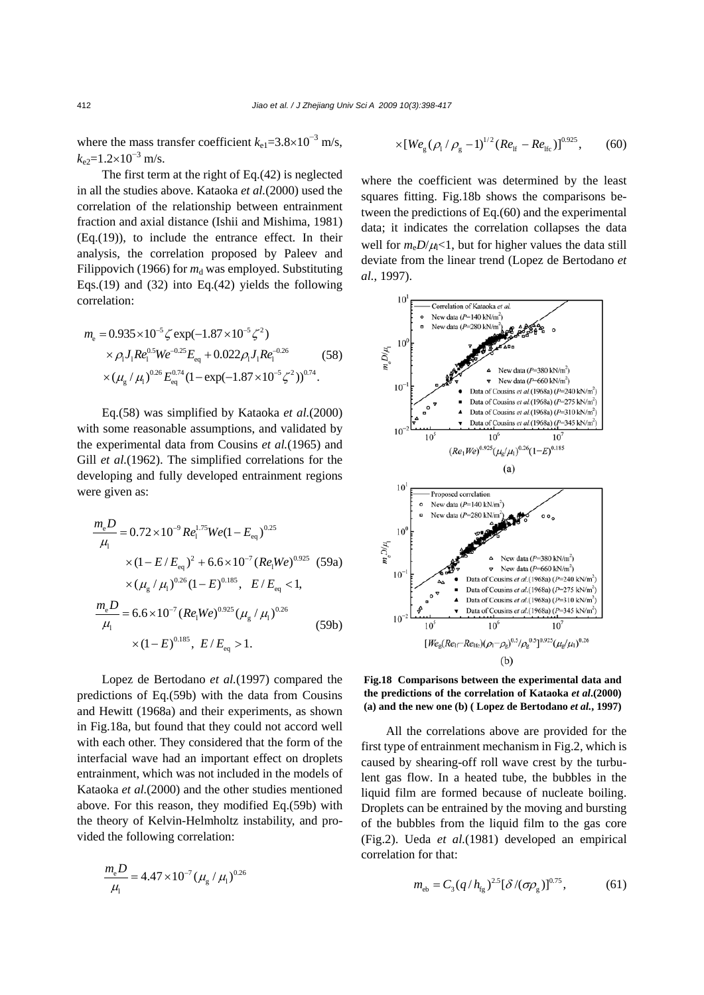where the mass transfer coefficient  $k_{el}$ =3.8×10<sup>-3</sup> m/s,  $k_{\rm e2}$ =1.2×10<sup>-3</sup> m/s.

The first term at the right of Eq.(42) is neglected in all the studies above. Kataoka *et al.*(2000) used the correlation of the relationship between entrainment fraction and axial distance (Ishii and Mishima, 1981) (Eq.(19)), to include the entrance effect. In their analysis, the correlation proposed by Paleev and Filippovich (1966) for  $m_d$  was employed. Substituting Eqs.(19) and (32) into Eq.(42) yields the following correlation:

$$
m_{\rm e} = 0.935 \times 10^{-5} \zeta \exp(-1.87 \times 10^{-5} \zeta^2)
$$
  
 
$$
\times \rho_1 J_1 Re_1^{0.5} We^{-0.25} E_{\rm eq} + 0.022 \rho_1 J_1 Re_1^{-0.26}
$$
 (58)  
 
$$
\times (\mu_{\rm g} / \mu_1)^{0.26} E_{\rm eq}^{0.74} (1 - \exp(-1.87 \times 10^{-5} \zeta^2))^{0.74}.
$$

Eq.(58) was simplified by Kataoka *et al.*(2000) with some reasonable assumptions, and validated by the experimental data from Cousins *et al.*(1965) and Gill *et al.*(1962). The simplified correlations for the developing and fully developed entrainment regions were given as:

$$
\frac{m_e D}{\mu_1} = 0.72 \times 10^{-9} Re_1^{1.75} We (1 - E_{eq})^{0.25}
$$
  
\n
$$
\times (1 - E/E_{eq})^2 + 6.6 \times 10^{-7} (Re_1 We)^{0.925} \text{ (59a)}
$$
  
\n
$$
\times (\mu_g / \mu_1)^{0.26} (1 - E)^{0.185}, \quad E/E_{eq} < 1,
$$
  
\n
$$
\frac{m_e D}{\mu_1} = 6.6 \times 10^{-7} (Re_1 We)^{0.925} (\mu_g / \mu_1)^{0.26}
$$
  
\n
$$
\times (1 - E)^{0.185}, \quad E/E_{eq} > 1.
$$
 (59b)

Lopez de Bertodano *et al.*(1997) compared the predictions of Eq.(59b) with the data from Cousins and Hewitt (1968a) and their experiments, as shown in Fig.18a, but found that they could not accord well with each other. They considered that the form of the interfacial wave had an important effect on droplets entrainment, which was not included in the models of Kataoka *et al.*(2000) and the other studies mentioned above. For this reason, they modified Eq.(59b) with the theory of Kelvin-Helmholtz instability, and provided the following correlation:

$$
\frac{m_{\rm e}D}{\mu_{\rm l}} = 4.47 \times 10^{-7} \left(\mu_{\rm g} / \mu_{\rm l}\right)^{0.26}
$$

$$
\times [W e_{\rm g} (\rho_{\rm l} / \rho_{\rm g} - 1)^{1/2} (R e_{\rm lf} - R e_{\rm lfc})]^{0.925}, \qquad (60)
$$

where the coefficient was determined by the least squares fitting. Fig.18b shows the comparisons between the predictions of Eq.(60) and the experimental data; it indicates the correlation collapses the data well for  $m_e D/\mu \ll 1$ , but for higher values the data still deviate from the linear trend (Lopez de Bertodano *et al.*, 1997).



**Fig.18 Comparisons between the experimental data and the predictions of the correlation of Kataoka** *et al***.(2000) (a) and the new one (b) ( Lopez de Bertodano** *et al.***, 1997)**

All the correlations above are provided for the first type of entrainment mechanism in Fig.2, which is caused by shearing-off roll wave crest by the turbulent gas flow. In a heated tube, the bubbles in the liquid film are formed because of nucleate boiling. Droplets can be entrained by the moving and bursting of the bubbles from the liquid film to the gas core (Fig.2). Ueda *et al.*(1981) developed an empirical correlation for that:

$$
m_{\rm eb} = C_3 (q/h_{\rm fg})^{2.5} [\delta / (\sigma \rho_{\rm g})]^{0.75},\tag{61}
$$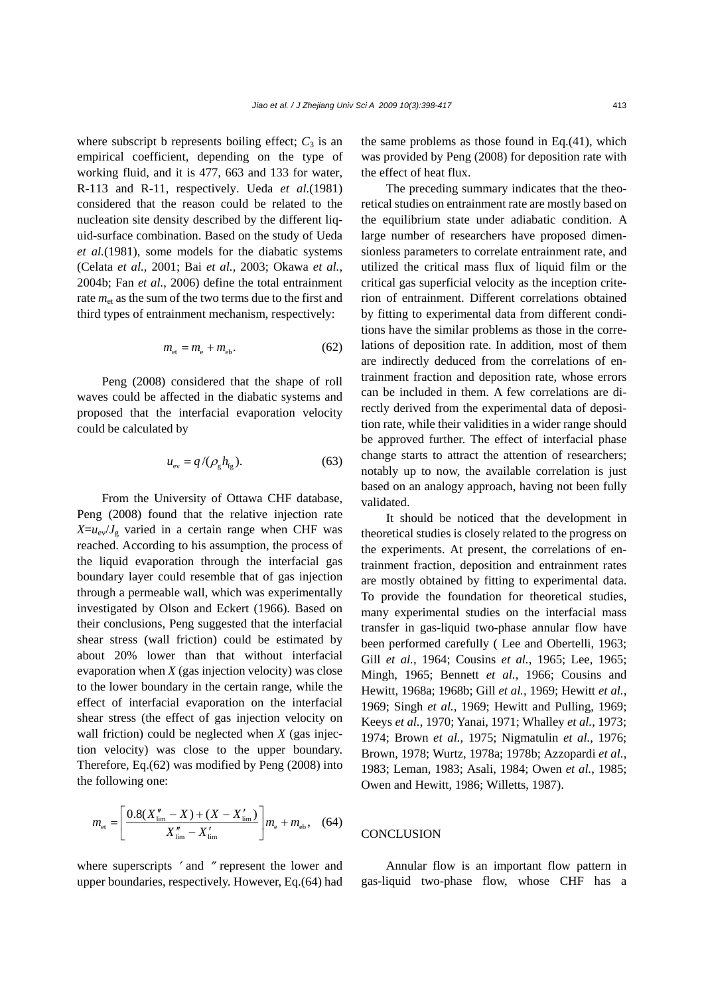where subscript b represents boiling effect;  $C_3$  is an empirical coefficient, depending on the type of working fluid, and it is 477, 663 and 133 for water, R-113 and R-11, respectively. Ueda *et al.*(1981) considered that the reason could be related to the nucleation site density described by the different liquid-surface combination. Based on the study of Ueda *et al.*(1981), some models for the diabatic systems (Celata *et al.*, 2001; Bai *et al.*, 2003; Okawa *et al.*, 2004b; Fan *et al.*, 2006) define the total entrainment rate  $m<sub>et</sub>$  as the sum of the two terms due to the first and third types of entrainment mechanism, respectively:

$$
m_{\rm et} = m_{\rm e} + m_{\rm eb}.\tag{62}
$$

Peng (2008) considered that the shape of roll waves could be affected in the diabatic systems and proposed that the interfacial evaporation velocity could be calculated by

$$
u_{\rm ev} = q / (\rho_{\rm g} h_{\rm fg}).\tag{63}
$$

From the University of Ottawa CHF database, Peng (2008) found that the relative injection rate  $X = u_{ev}/J_g$  varied in a certain range when CHF was reached. According to his assumption, the process of the liquid evaporation through the interfacial gas boundary layer could resemble that of gas injection through a permeable wall, which was experimentally investigated by Olson and Eckert (1966). Based on their conclusions, Peng suggested that the interfacial shear stress (wall friction) could be estimated by about 20% lower than that without interfacial evaporation when *X* (gas injection velocity) was close to the lower boundary in the certain range, while the effect of interfacial evaporation on the interfacial shear stress (the effect of gas injection velocity on wall friction) could be neglected when *X* (gas injection velocity) was close to the upper boundary. Therefore, Eq.(62) was modified by Peng (2008) into the following one:

$$
m_{\rm et} = \left[ \frac{0.8(X_{\rm lim}'' - X) + (X - X_{\rm lim}')}{X_{\rm lim}'' - X_{\rm lim}'} \right] m_{\rm e} + m_{\rm eb}, \quad (64)
$$

where superscripts ' and " represent the lower and upper boundaries, respectively. However, Eq.(64) had the same problems as those found in Eq.(41), which was provided by Peng (2008) for deposition rate with the effect of heat flux.

The preceding summary indicates that the theoretical studies on entrainment rate are mostly based on the equilibrium state under adiabatic condition. A large number of researchers have proposed dimensionless parameters to correlate entrainment rate, and utilized the critical mass flux of liquid film or the critical gas superficial velocity as the inception criterion of entrainment. Different correlations obtained by fitting to experimental data from different conditions have the similar problems as those in the correlations of deposition rate. In addition, most of them are indirectly deduced from the correlations of entrainment fraction and deposition rate, whose errors can be included in them. A few correlations are directly derived from the experimental data of deposition rate, while their validities in a wider range should be approved further. The effect of interfacial phase change starts to attract the attention of researchers; notably up to now, the available correlation is just based on an analogy approach, having not been fully validated.

It should be noticed that the development in theoretical studies is closely related to the progress on the experiments. At present, the correlations of entrainment fraction, deposition and entrainment rates are mostly obtained by fitting to experimental data. To provide the foundation for theoretical studies, many experimental studies on the interfacial mass transfer in gas-liquid two-phase annular flow have been performed carefully ( Lee and Obertelli, 1963; Gill *et al.*, 1964; Cousins *et al.*, 1965; Lee, 1965; Mingh, 1965; Bennett *et al.*, 1966; Cousins and Hewitt, 1968a; 1968b; Gill *et al.*, 1969; Hewitt *et al.*, 1969; Singh *et al.*, 1969; Hewitt and Pulling, 1969; Keeys *et al.*, 1970; Yanai, 1971; Whalley *et al.*, 1973; 1974; Brown *et al.*, 1975; Nigmatulin *et al.*, 1976; Brown, 1978; Wurtz, 1978a; 1978b; Azzopardi *et al.*, 1983; Leman, 1983; Asali, 1984; Owen *et al.*, 1985; Owen and Hewitt, 1986; Willetts, 1987).

### **CONCLUSION**

Annular flow is an important flow pattern in gas-liquid two-phase flow, whose CHF has a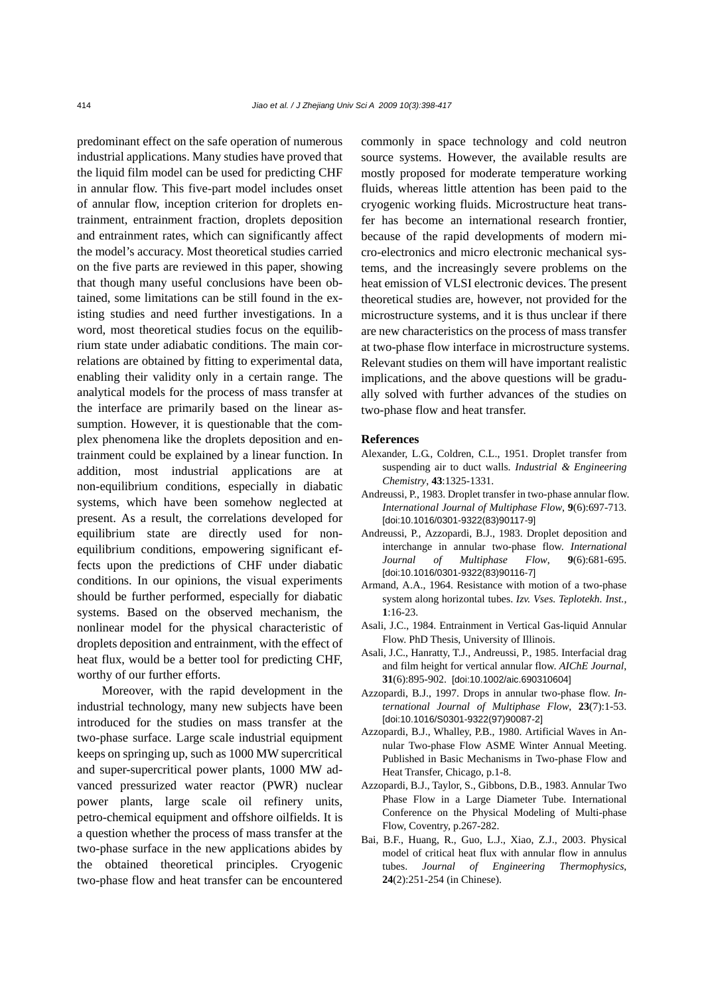predominant effect on the safe operation of numerous industrial applications. Many studies have proved that the liquid film model can be used for predicting CHF in annular flow. This five-part model includes onset of annular flow, inception criterion for droplets entrainment, entrainment fraction, droplets deposition and entrainment rates, which can significantly affect the model's accuracy. Most theoretical studies carried on the five parts are reviewed in this paper, showing that though many useful conclusions have been obtained, some limitations can be still found in the existing studies and need further investigations. In a word, most theoretical studies focus on the equilibrium state under adiabatic conditions. The main correlations are obtained by fitting to experimental data, enabling their validity only in a certain range. The analytical models for the process of mass transfer at the interface are primarily based on the linear assumption. However, it is questionable that the complex phenomena like the droplets deposition and entrainment could be explained by a linear function. In addition, most industrial applications are at non-equilibrium conditions, especially in diabatic systems, which have been somehow neglected at present. As a result, the correlations developed for equilibrium state are directly used for nonequilibrium conditions, empowering significant effects upon the predictions of CHF under diabatic conditions. In our opinions, the visual experiments should be further performed, especially for diabatic systems. Based on the observed mechanism, the nonlinear model for the physical characteristic of droplets deposition and entrainment, with the effect of heat flux, would be a better tool for predicting CHF, worthy of our further efforts.

Moreover, with the rapid development in the industrial technology, many new subjects have been introduced for the studies on mass transfer at the two-phase surface. Large scale industrial equipment keeps on springing up, such as 1000 MW supercritical and super-supercritical power plants, 1000 MW advanced pressurized water reactor (PWR) nuclear power plants, large scale oil refinery units, petro-chemical equipment and offshore oilfields. It is a question whether the process of mass transfer at the two-phase surface in the new applications abides by the obtained theoretical principles. Cryogenic two-phase flow and heat transfer can be encountered commonly in space technology and cold neutron source systems. However, the available results are mostly proposed for moderate temperature working fluids, whereas little attention has been paid to the cryogenic working fluids. Microstructure heat transfer has become an international research frontier, because of the rapid developments of modern micro-electronics and micro electronic mechanical systems, and the increasingly severe problems on the heat emission of VLSI electronic devices. The present theoretical studies are, however, not provided for the microstructure systems, and it is thus unclear if there are new characteristics on the process of mass transfer at two-phase flow interface in microstructure systems. Relevant studies on them will have important realistic implications, and the above questions will be gradually solved with further advances of the studies on two-phase flow and heat transfer.

#### **References**

- Alexander, L.G., Coldren, C.L., 1951. Droplet transfer from suspending air to duct walls. *Industrial & Engineering Chemistry*, **43**:1325-1331.
- Andreussi, P., 1983. Droplet transfer in two-phase annular flow. *International Journal of Multiphase Flow*, **9**(6):697-713. [doi:10.1016/0301-9322(83)90117-9]
- Andreussi, P., Azzopardi, B.J., 1983. Droplet deposition and interchange in annular two-phase flow. *International Journal of Multiphase Flow*, **9**(6):681-695. [doi:10.1016/0301-9322(83)90116-7]
- Armand, A.A., 1964. Resistance with motion of a two-phase system along horizontal tubes. *Izv. Vses. Teplotekh. Inst.*, **1**:16-23.
- Asali, J.C., 1984. Entrainment in Vertical Gas-liquid Annular Flow. PhD Thesis, University of Illinois.
- Asali, J.C., Hanratty, T.J., Andreussi, P., 1985. Interfacial drag and film height for vertical annular flow. *AIChE Journal*, **31**(6):895-902. [doi:10.1002/aic.690310604]
- Azzopardi, B.J., 1997. Drops in annular two-phase flow. *International Journal of Multiphase Flow*, **23**(7):1-53. [doi:10.1016/S0301-9322(97)90087-2]
- Azzopardi, B.J., Whalley, P.B., 1980. Artificial Waves in Annular Two-phase Flow ASME Winter Annual Meeting. Published in Basic Mechanisms in Two-phase Flow and Heat Transfer, Chicago, p.1-8.
- Azzopardi, B.J., Taylor, S., Gibbons, D.B., 1983. Annular Two Phase Flow in a Large Diameter Tube. International Conference on the Physical Modeling of Multi-phase Flow, Coventry, p.267-282.
- Bai, B.F., Huang, R., Guo, L.J., Xiao, Z.J., 2003. Physical model of critical heat flux with annular flow in annulus tubes. *Journal of Engineering Thermophysics*, **24**(2):251-254 (in Chinese).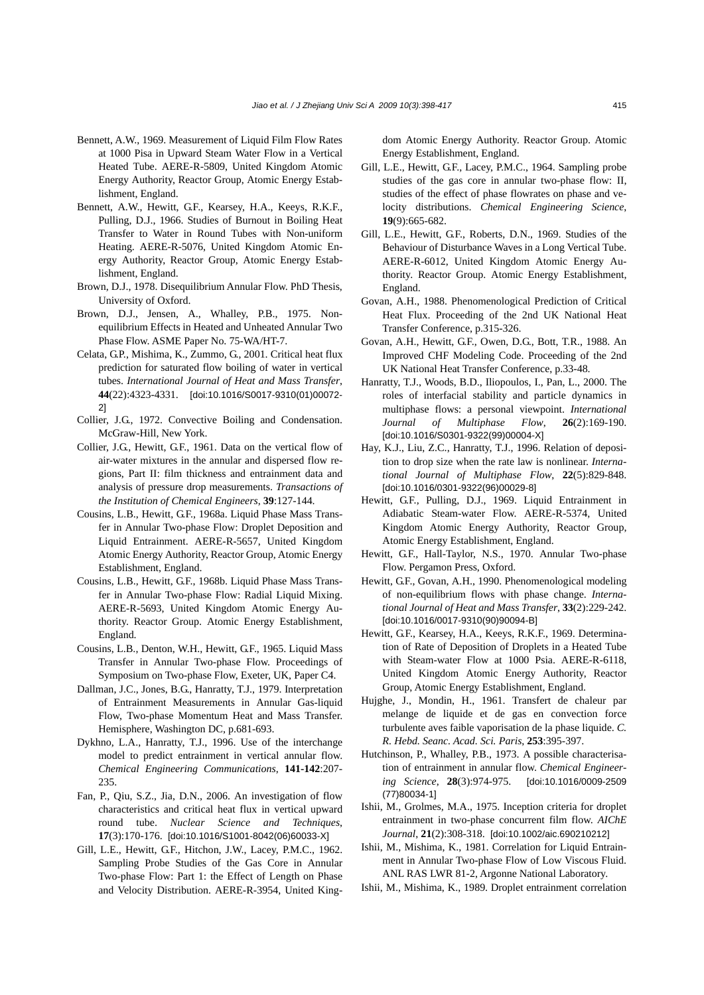- Bennett, A.W., 1969. Measurement of Liquid Film Flow Rates at 1000 Pisa in Upward Steam Water Flow in a Vertical Heated Tube. AERE-R-5809, United Kingdom Atomic Energy Authority, Reactor Group, Atomic Energy Establishment, England.
- Bennett, A.W., Hewitt, G.F., Kearsey, H.A., Keeys, R.K.F., Pulling, D.J., 1966. Studies of Burnout in Boiling Heat Transfer to Water in Round Tubes with Non-uniform Heating. AERE-R-5076, United Kingdom Atomic Energy Authority, Reactor Group, Atomic Energy Establishment, England.
- Brown, D.J., 1978. Disequilibrium Annular Flow. PhD Thesis, University of Oxford.
- Brown, D.J., Jensen, A., Whalley, P.B., 1975. Nonequilibrium Effects in Heated and Unheated Annular Two Phase Flow. ASME Paper No. 75-WA/HT-7.
- Celata, G.P., Mishima, K., Zummo, G., 2001. Critical heat flux prediction for saturated flow boiling of water in vertical tubes. *International Journal of Heat and Mass Transfer*, **44**(22):4323-4331. [doi:10.1016/S0017-9310(01)00072- 2]
- Collier, J.G., 1972. Convective Boiling and Condensation. McGraw-Hill, New York.
- Collier, J.G., Hewitt, G.F., 1961. Data on the vertical flow of air-water mixtures in the annular and dispersed flow regions, Part II: film thickness and entrainment data and analysis of pressure drop measurements. *Transactions of the Institution of Chemical Engineers*, **39**:127-144.
- Cousins, L.B., Hewitt, G.F., 1968a. Liquid Phase Mass Transfer in Annular Two-phase Flow: Droplet Deposition and Liquid Entrainment. AERE-R-5657, United Kingdom Atomic Energy Authority, Reactor Group, Atomic Energy Establishment, England.
- Cousins, L.B., Hewitt, G.F., 1968b. Liquid Phase Mass Transfer in Annular Two-phase Flow: Radial Liquid Mixing. AERE-R-5693, United Kingdom Atomic Energy Authority. Reactor Group. Atomic Energy Establishment, England.
- Cousins, L.B., Denton, W.H., Hewitt, G.F., 1965. Liquid Mass Transfer in Annular Two-phase Flow. Proceedings of Symposium on Two-phase Flow, Exeter, UK, Paper C4.
- Dallman, J.C., Jones, B.G., Hanratty, T.J., 1979. Interpretation of Entrainment Measurements in Annular Gas-liquid Flow, Two-phase Momentum Heat and Mass Transfer. Hemisphere, Washington DC, p.681-693.
- Dykhno, L.A., Hanratty, T.J., 1996. Use of the interchange model to predict entrainment in vertical annular flow. *Chemical Engineering Communications*, **141-142**:207- 235.
- Fan, P., Qiu, S.Z., Jia, D.N., 2006. An investigation of flow characteristics and critical heat flux in vertical upward round tube. *Nuclear Science and Techniques*, **17**(3):170-176. [doi:10.1016/S1001-8042(06)60033-X]
- Gill, L.E., Hewitt, G.F., Hitchon, J.W., Lacey, P.M.C., 1962. Sampling Probe Studies of the Gas Core in Annular Two-phase Flow: Part 1: the Effect of Length on Phase and Velocity Distribution. AERE-R-3954, United King-

dom Atomic Energy Authority. Reactor Group. Atomic Energy Establishment, England.

- Gill, L.E., Hewitt, G.F., Lacey, P.M.C., 1964. Sampling probe studies of the gas core in annular two-phase flow: II, studies of the effect of phase flowrates on phase and velocity distributions. *Chemical Engineering Science*, **19**(9):665-682.
- Gill, L.E., Hewitt, G.F., Roberts, D.N., 1969. Studies of the Behaviour of Disturbance Waves in a Long Vertical Tube. AERE-R-6012, United Kingdom Atomic Energy Authority. Reactor Group. Atomic Energy Establishment, England.
- Govan, A.H., 1988. Phenomenological Prediction of Critical Heat Flux. Proceeding of the 2nd UK National Heat Transfer Conference, p.315-326.
- Govan, A.H., Hewitt, G.F., Owen, D.G., Bott, T.R., 1988. An Improved CHF Modeling Code. Proceeding of the 2nd UK National Heat Transfer Conference, p.33-48.
- Hanratty, T.J., Woods, B.D., Iliopoulos, I., Pan, L., 2000. The roles of interfacial stability and particle dynamics in multiphase flows: a personal viewpoint. *International Journal of Multiphase Flow*, **26**(2):169-190. [doi:10.1016/S0301-9322(99)00004-X]
- Hay, K.J., Liu, Z.C., Hanratty, T.J., 1996. Relation of deposition to drop size when the rate law is nonlinear. *International Journal of Multiphase Flow*, **22**(5):829-848. [doi:10.1016/0301-9322(96)00029-8]
- Hewitt, G.F., Pulling, D.J., 1969. Liquid Entrainment in Adiabatic Steam-water Flow. AERE-R-5374, United Kingdom Atomic Energy Authority, Reactor Group, Atomic Energy Establishment, England.
- Hewitt, G.F., Hall-Taylor, N.S., 1970. Annular Two-phase Flow. Pergamon Press, Oxford.
- Hewitt, G.F., Govan, A.H., 1990. Phenomenological modeling of non-equilibrium flows with phase change. *International Journal of Heat and Mass Transfer*, **33**(2):229-242. [doi:10.1016/0017-9310(90)90094-B]
- Hewitt, G.F., Kearsey, H.A., Keeys, R.K.F., 1969. Determination of Rate of Deposition of Droplets in a Heated Tube with Steam-water Flow at 1000 Psia. AERE-R-6118, United Kingdom Atomic Energy Authority, Reactor Group, Atomic Energy Establishment, England.
- Hujghe, J., Mondin, H., 1961. Transfert de chaleur par melange de liquide et de gas en convection force turbulente aves faible vaporisation de la phase liquide. *C. R. Hebd. Seanc. Acad. Sci. Paris*, **253**:395-397.
- Hutchinson, P., Whalley, P.B., 1973. A possible characterisation of entrainment in annular flow. *Chemical Engineering Science*, **28**(3):974-975. [doi:10.1016/0009-2509 (77)80034-1]
- Ishii, M., Grolmes, M.A., 1975. Inception criteria for droplet entrainment in two-phase concurrent film flow. *AIChE Journal*, **21**(2):308-318. [doi:10.1002/aic.690210212]
- Ishii, M., Mishima, K., 1981. Correlation for Liquid Entrainment in Annular Two-phase Flow of Low Viscous Fluid. ANL RAS LWR 81-2, Argonne National Laboratory.
- Ishii, M., Mishima, K., 1989. Droplet entrainment correlation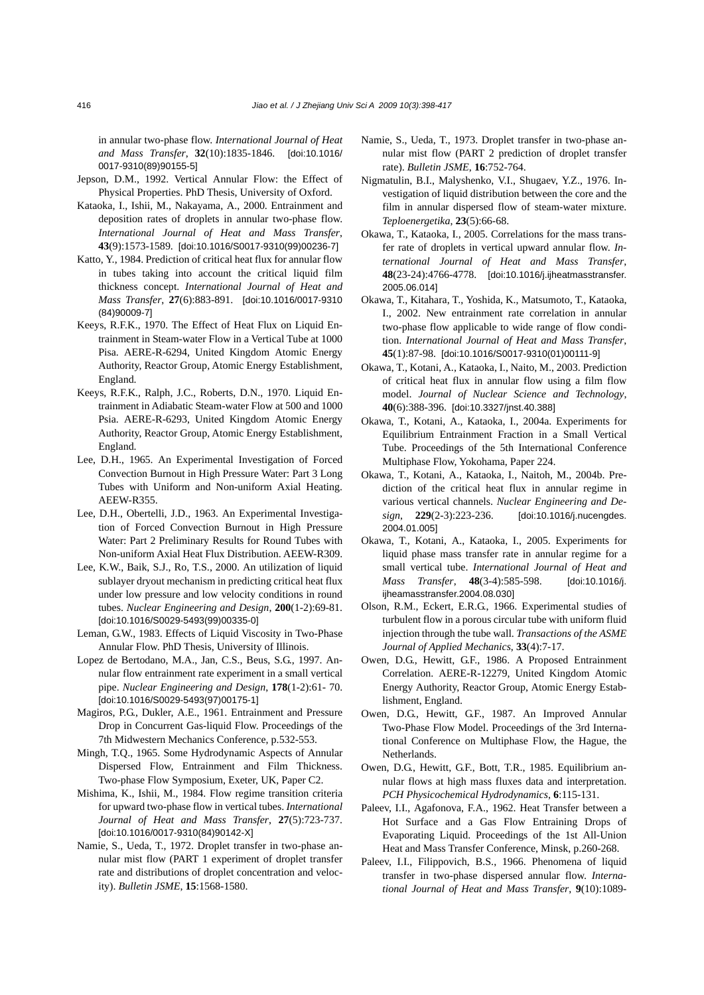in annular two-phase flow. *International Journal of Heat and Mass Transfer*, **32**(10):1835-1846. [doi:10.1016/ 0017-9310(89)90155-5]

- Jepson, D.M., 1992. Vertical Annular Flow: the Effect of Physical Properties. PhD Thesis, University of Oxford.
- Kataoka, I., Ishii, M., Nakayama, A., 2000. Entrainment and deposition rates of droplets in annular two-phase flow. *International Journal of Heat and Mass Transfer*, **43**(9):1573-1589. [doi:10.1016/S0017-9310(99)00236-7]
- Katto, Y., 1984. Prediction of critical heat flux for annular flow in tubes taking into account the critical liquid film thickness concept. *International Journal of Heat and Mass Transfer*, **27**(6):883-891. [doi:10.1016/0017-9310 (84)90009-7]
- Keeys, R.F.K., 1970. The Effect of Heat Flux on Liquid Entrainment in Steam-water Flow in a Vertical Tube at 1000 Pisa. AERE-R-6294, United Kingdom Atomic Energy Authority, Reactor Group, Atomic Energy Establishment, England.
- Keeys, R.F.K., Ralph, J.C., Roberts, D.N., 1970. Liquid Entrainment in Adiabatic Steam-water Flow at 500 and 1000 Psia. AERE-R-6293, United Kingdom Atomic Energy Authority, Reactor Group, Atomic Energy Establishment, England.
- Lee, D.H., 1965. An Experimental Investigation of Forced Convection Burnout in High Pressure Water: Part 3 Long Tubes with Uniform and Non-uniform Axial Heating. AEEW-R355.
- Lee, D.H., Obertelli, J.D., 1963. An Experimental Investigation of Forced Convection Burnout in High Pressure Water: Part 2 Preliminary Results for Round Tubes with Non-uniform Axial Heat Flux Distribution. AEEW-R309.
- Lee, K.W., Baik, S.J., Ro, T.S., 2000. An utilization of liquid sublayer dryout mechanism in predicting critical heat flux under low pressure and low velocity conditions in round tubes. *Nuclear Engineering and Design*, **200**(1-2):69-81. [doi:10.1016/S0029-5493(99)00335-0]
- Leman, G.W., 1983. Effects of Liquid Viscosity in Two-Phase Annular Flow. PhD Thesis, University of Illinois.
- Lopez de Bertodano, M.A., Jan, C.S., Beus, S.G., 1997. Annular flow entrainment rate experiment in a small vertical pipe. *Nuclear Engineering and Design*, **178**(1-2):61- 70. [doi:10.1016/S0029-5493(97)00175-1]
- Magiros, P.G., Dukler, A.E., 1961. Entrainment and Pressure Drop in Concurrent Gas-liquid Flow. Proceedings of the 7th Midwestern Mechanics Conference, p.532-553.
- Mingh, T.Q., 1965. Some Hydrodynamic Aspects of Annular Dispersed Flow, Entrainment and Film Thickness. Two-phase Flow Symposium, Exeter, UK, Paper C2.
- Mishima, K., Ishii, M., 1984. Flow regime transition criteria for upward two-phase flow in vertical tubes. *International Journal of Heat and Mass Transfer*, **27**(5):723-737. [doi:10.1016/0017-9310(84)90142-X]
- Namie, S., Ueda, T., 1972. Droplet transfer in two-phase annular mist flow (PART 1 experiment of droplet transfer rate and distributions of droplet concentration and velocity). *Bulletin JSME*, **15**:1568-1580.
- Namie, S., Ueda, T., 1973. Droplet transfer in two-phase annular mist flow (PART 2 prediction of droplet transfer rate). *Bulletin JSME*, **16**:752-764.
- Nigmatulin, B.I., Malyshenko, V.I., Shugaev, Y.Z., 1976. Investigation of liquid distribution between the core and the film in annular dispersed flow of steam-water mixture. *Teploenergetika*, **23**(5):66-68.
- Okawa, T., Kataoka, I., 2005. Correlations for the mass transfer rate of droplets in vertical upward annular flow. *International Journal of Heat and Mass Transfer*, **48**(23-24):4766-4778. [doi:10.1016/j.ijheatmasstransfer. 2005.06.014]
- Okawa, T., Kitahara, T., Yoshida, K., Matsumoto, T., Kataoka, I., 2002. New entrainment rate correlation in annular two-phase flow applicable to wide range of flow condition. *International Journal of Heat and Mass Transfer*, **45**(1):87-98. [doi:10.1016/S0017-9310(01)00111-9]
- Okawa, T., Kotani, A., Kataoka, I., Naito, M., 2003. Prediction of critical heat flux in annular flow using a film flow model. *Journal of Nuclear Science and Technology*, **40**(6):388-396. [doi:10.3327/jnst.40.388]
- Okawa, T., Kotani, A., Kataoka, I., 2004a. Experiments for Equilibrium Entrainment Fraction in a Small Vertical Tube. Proceedings of the 5th International Conference Multiphase Flow, Yokohama, Paper 224.
- Okawa, T., Kotani, A., Kataoka, I., Naitoh, M., 2004b. Prediction of the critical heat flux in annular regime in various vertical channels. *Nuclear Engineering and Design*, **229**(2-3):223-236. [doi:10.1016/j.nucengdes. 2004.01.005]
- Okawa, T., Kotani, A., Kataoka, I., 2005. Experiments for liquid phase mass transfer rate in annular regime for a small vertical tube. *International Journal of Heat and Mass Transfer*, **48**(3-4):585-598. [doi:10.1016/j. ijheamasstransfer.2004.08.030]
- Olson, R.M., Eckert, E.R.G., 1966. Experimental studies of turbulent flow in a porous circular tube with uniform fluid injection through the tube wall. *Transactions of the ASME Journal of Applied Mechanics*, **33**(4):7-17.
- Owen, D.G., Hewitt, G.F., 1986. A Proposed Entrainment Correlation. AERE-R-12279, United Kingdom Atomic Energy Authority, Reactor Group, Atomic Energy Establishment, England.
- Owen, D.G., Hewitt, G.F., 1987. An Improved Annular Two-Phase Flow Model. Proceedings of the 3rd International Conference on Multiphase Flow, the Hague, the Netherlands.
- Owen, D.G., Hewitt, G.F., Bott, T.R., 1985. Equilibrium annular flows at high mass fluxes data and interpretation. *PCH Physicochemical Hydrodynamics*, **6**:115-131.
- Paleev, I.I., Agafonova, F.A., 1962. Heat Transfer between a Hot Surface and a Gas Flow Entraining Drops of Evaporating Liquid. Proceedings of the 1st All-Union Heat and Mass Transfer Conference, Minsk, p.260-268.
- Paleev, I.I., Filippovich, B.S., 1966. Phenomena of liquid transfer in two-phase dispersed annular flow. *International Journal of Heat and Mass Transfer*, **9**(10):1089-